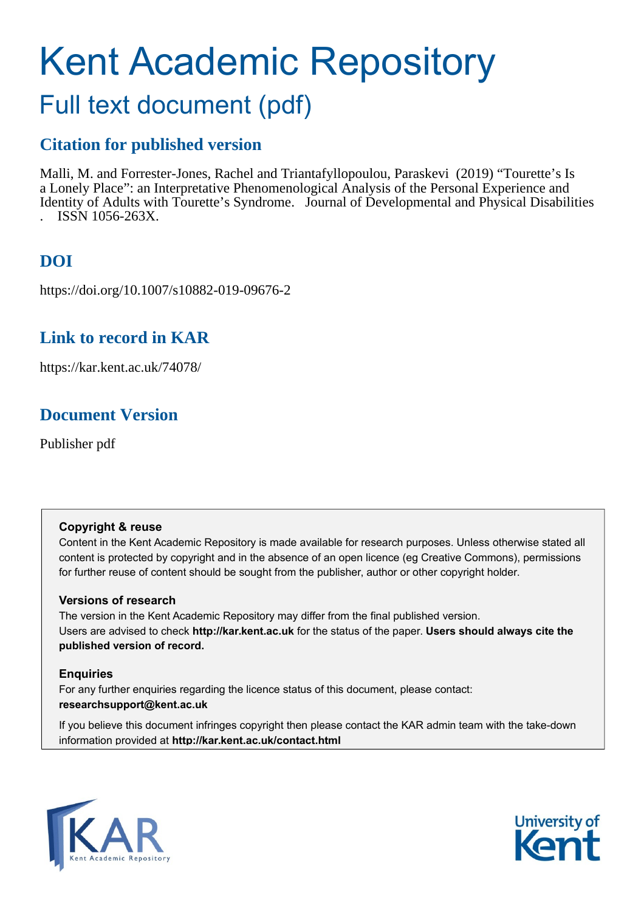# Kent Academic Repository Full text document (pdf)

# **Citation for published version**

Malli, M. and Forrester-Jones, Rachel and Triantafyllopoulou, Paraskevi (2019) "Tourette's Is a Lonely Place": an Interpretative Phenomenological Analysis of the Personal Experience and Identity of Adults with Tourette's Syndrome. Journal of Developmental and Physical Disabilities . ISSN 1056-263X.

# **DOI**

https://doi.org/10.1007/s10882-019-09676-2

# **Link to record in KAR**

https://kar.kent.ac.uk/74078/

# **Document Version**

Publisher pdf

## **Copyright & reuse**

Content in the Kent Academic Repository is made available for research purposes. Unless otherwise stated all content is protected by copyright and in the absence of an open licence (eg Creative Commons), permissions for further reuse of content should be sought from the publisher, author or other copyright holder.

## **Versions of research**

The version in the Kent Academic Repository may differ from the final published version. Users are advised to check **http://kar.kent.ac.uk** for the status of the paper. **Users should always cite the published version of record.**

## **Enquiries**

For any further enquiries regarding the licence status of this document, please contact: **researchsupport@kent.ac.uk**

If you believe this document infringes copyright then please contact the KAR admin team with the take-down information provided at **http://kar.kent.ac.uk/contact.html**



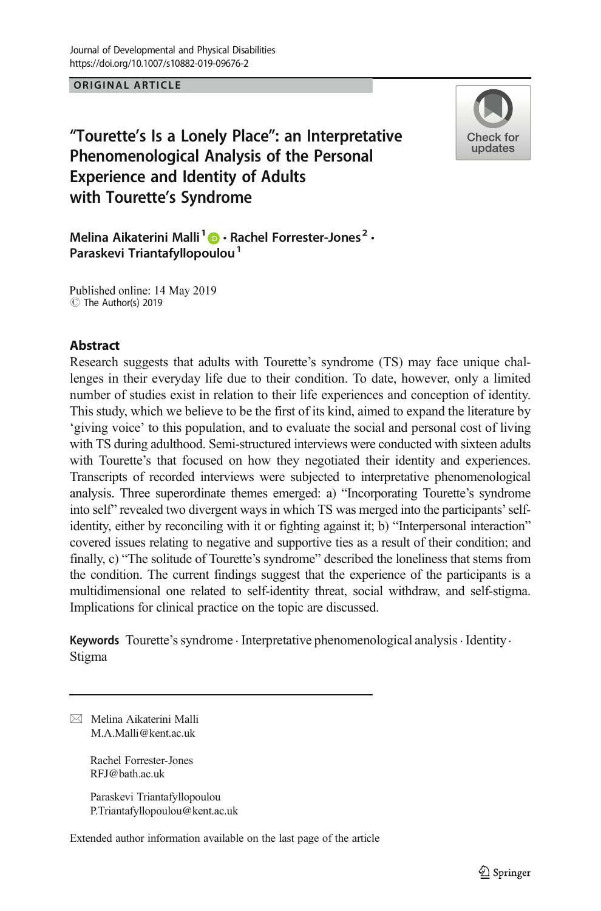#### **ORIGINAL ARTICLE**

## "Tourette's Is a Lonely Place": an Interpretative Phenomenological Analysis of the Personal Experience and Identity of Adults with Tourette's Syndrome



Melina Aikaterini Malli<sup>1</sup>  $\bullet$  · Rachel Forrester-Jones<sup>2</sup> · Paraskevi Triantafyllopoulou<sup>1</sup>

Published online: 14 May 2019  $\circledcirc$  The Author(s) 2019

#### **Abstract**

Research suggests that adults with Tourette's syndrome (TS) may face unique challenges in their everyday life due to their condition. To date, however, only a limited number of studies exist in relation to their life experiences and conception of identity. This study, which we believe to be the first of its kind, aimed to expand the literature by 'giving voice' to this population, and to evaluate the social and personal cost of living with TS during adulthood. Semi-structured interviews were conducted with sixteen adults with Tourette's that focused on how they negotiated their identity and experiences. Transcripts of recorded interviews were subjected to interpretative phenomenological analysis. Three superordinate themes emerged: a) "Incorporating Tourette's syndrome into self" revealed two divergent ways in which TS was merged into the participants'selfidentity, either by reconciling with it or fighting against it; b) "Interpersonal interaction" covered issues relating to negative and supportive ties as a result of their condition; and finally, c) "The solitude of Tourette's syndrome" described the loneliness that stems from the condition. The current findings suggest that the experience of the participants is a multidimensional one related to self-identity threat, social withdraw, and self-stigma. Implications for clinical practice on the topic are discussed.

Keywords Tourette's syndrome . Interpretative phenomenological analysis. Identity. Stigma

 $\boxtimes$  Melina Aikaterini Malli [M.A.Malli@kent.ac.uk](mailto:M.�A.Malli@kent.ac.uk)

> Rachel Forrester-Jones RFJ@bath.ac.uk

Paraskevi Triantafyllopoulou P.Triantafyllopoulou@kent.ac.uk

Extended author information available on the last page of the article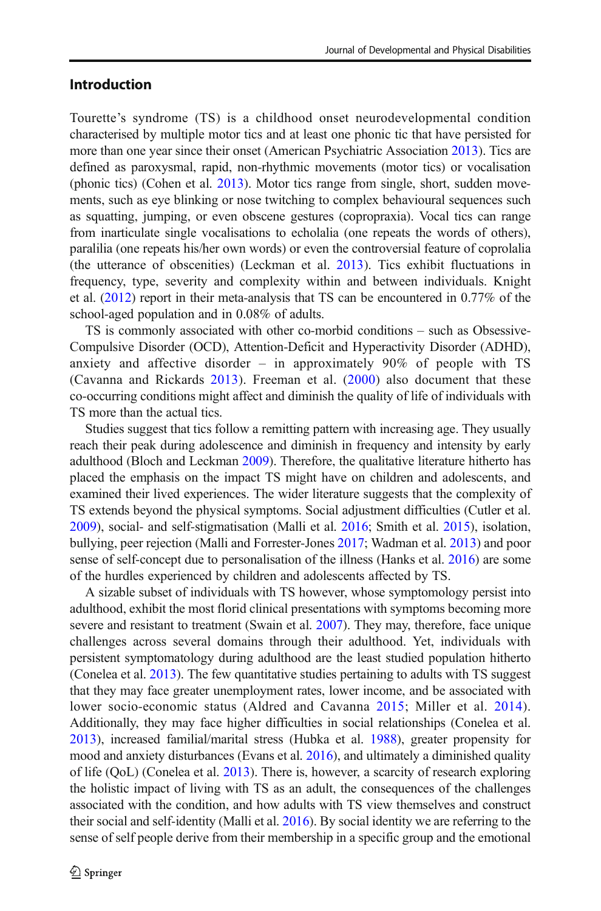#### Introduction

Tourette's syndrome (TS) is a childhood onset neurodevelopmental condition characterised by multiple motor tics and at least one phonic tic that have persisted for more than one year since their onset (American Psychiatric Association 2013). Tics are defined as paroxysmal, rapid, non-rhythmic movements (motor tics) or vocalisation (phonic tics) (Cohen et al. 2013). Motor tics range from single, short, sudden movements, such as eye blinking or nose twitching to complex behavioural sequences such as squatting, jumping, or even obscene gestures (copropraxia). Vocal tics can range from inarticulate single vocalisations to echolalia (one repeats the words of others), paralilia (one repeats his/her own words) or even the controversial feature of coprolalia (the utterance of obscenities) (Leckman et al. 2013). Tics exhibit fluctuations in frequency, type, severity and complexity within and between individuals. Knight et al. (2012) report in their meta-analysis that TS can be encountered in 0.77% of the school-aged population and in 0.08% of adults.

TS is commonly associated with other co-morbid conditions – such as Obsessive-Compulsive Disorder (OCD), Attention-Deficit and Hyperactivity Disorder (ADHD), anxiety and affective disorder – in approximately 90% of people with TS (Cavanna and Rickards 2013). Freeman et al. (2000) also document that these co-occurring conditions might affect and diminish the quality of life of individuals with TS more than the actual tics.

Studies suggest that tics follow a remitting pattern with increasing age. They usually reach their peak during adolescence and diminish in frequency and intensity by early adulthood (Bloch and Leckman 2009). Therefore, the qualitative literature hitherto has placed the emphasis on the impact TS might have on children and adolescents, and examined their lived experiences. The wider literature suggests that the complexity of TS extends beyond the physical symptoms. Social adjustment difficulties (Cutler et al. 2009), social- and self-stigmatisation (Malli et al. 2016; Smith et al. 2015), isolation, bullying, peer rejection (Malli and Forrester-Jones 2017; Wadman et al. 2013) and poor sense of self-concept due to personalisation of the illness (Hanks et al. 2016) are some of the hurdles experienced by children and adolescents affected by TS.

A sizable subset of individuals with TS however, whose symptomology persist into adulthood, exhibit the most florid clinical presentations with symptoms becoming more severe and resistant to treatment (Swain et al. 2007). They may, therefore, face unique challenges across several domains through their adulthood. Yet, individuals with persistent symptomatology during adulthood are the least studied population hitherto (Conelea et al. 2013). The few quantitative studies pertaining to adults with TS suggest that they may face greater unemployment rates, lower income, and be associated with lower socio-economic status (Aldred and Cavanna 2015; Miller et al. 2014). Additionally, they may face higher difficulties in social relationships (Conelea et al. 2013), increased familial/marital stress (Hubka et al. 1988), greater propensity for mood and anxiety disturbances (Evans et al. 2016), and ultimately a diminished quality of life (QoL) (Conelea et al. 2013). There is, however, a scarcity of research exploring the holistic impact of living with TS as an adult, the consequences of the challenges associated with the condition, and how adults with TS view themselves and construct their social and self-identity (Malli et al. 2016). By social identity we are referring to the sense of self people derive from their membership in a specific group and the emotional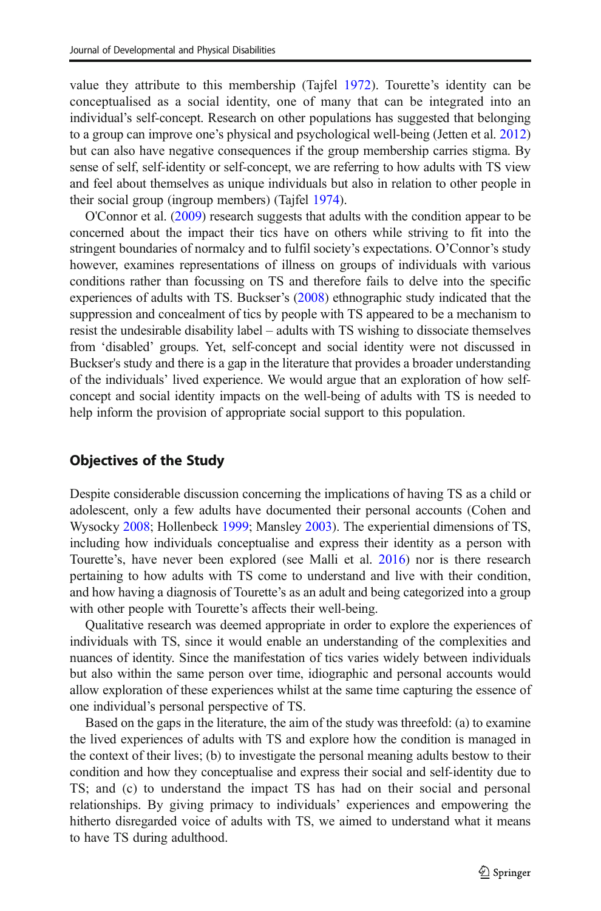value they attribute to this membership (Tajfel 1972). Tourette's identity can be conceptualised as a social identity, one of many that can be integrated into an individual's self-concept. Research on other populations has suggested that belonging to a group can improve one's physical and psychological well-being (Jetten et al. 2012) but can also have negative consequences if the group membership carries stigma. By sense of self, self-identity or self-concept, we are referring to how adults with TS view and feel about themselves as unique individuals but also in relation to other people in their social group (ingroup members) (Tajfel 1974).

O'Connor et al. (2009) research suggests that adults with the condition appear to be concerned about the impact their tics have on others while striving to fit into the stringent boundaries of normalcy and to fulfil society's expectations. O'Connor's study however, examines representations of illness on groups of individuals with various conditions rather than focussing on TS and therefore fails to delve into the specific experiences of adults with TS. Buckser's (2008) ethnographic study indicated that the suppression and concealment of tics by people with TS appeared to be a mechanism to resist the undesirable disability label – adults with TS wishing to dissociate themselves from 'disabled' groups. Yet, self-concept and social identity were not discussed in Buckser's study and there is a gap in the literature that provides a broader understanding of the individuals' lived experience. We would argue that an exploration of how selfconcept and social identity impacts on the well-being of adults with TS is needed to help inform the provision of appropriate social support to this population.

#### Objectives of the Study

Despite considerable discussion concerning the implications of having TS as a child or adolescent, only a few adults have documented their personal accounts (Cohen and Wysocky 2008; Hollenbeck 1999; Mansley 2003). The experiential dimensions of TS, including how individuals conceptualise and express their identity as a person with Tourette's, have never been explored (see Malli et al. 2016) nor is there research pertaining to how adults with TS come to understand and live with their condition, and how having a diagnosis of Tourette's as an adult and being categorized into a group with other people with Tourette's affects their well-being.

Qualitative research was deemed appropriate in order to explore the experiences of individuals with TS, since it would enable an understanding of the complexities and nuances of identity. Since the manifestation of tics varies widely between individuals but also within the same person over time, idiographic and personal accounts would allow exploration of these experiences whilst at the same time capturing the essence of one individual's personal perspective of TS.

Based on the gaps in the literature, the aim of the study was threefold: (a) to examine the lived experiences of adults with TS and explore how the condition is managed in the context of their lives; (b) to investigate the personal meaning adults bestow to their condition and how they conceptualise and express their social and self-identity due to TS; and (c) to understand the impact TS has had on their social and personal relationships. By giving primacy to individuals' experiences and empowering the hitherto disregarded voice of adults with TS, we aimed to understand what it means to have TS during adulthood.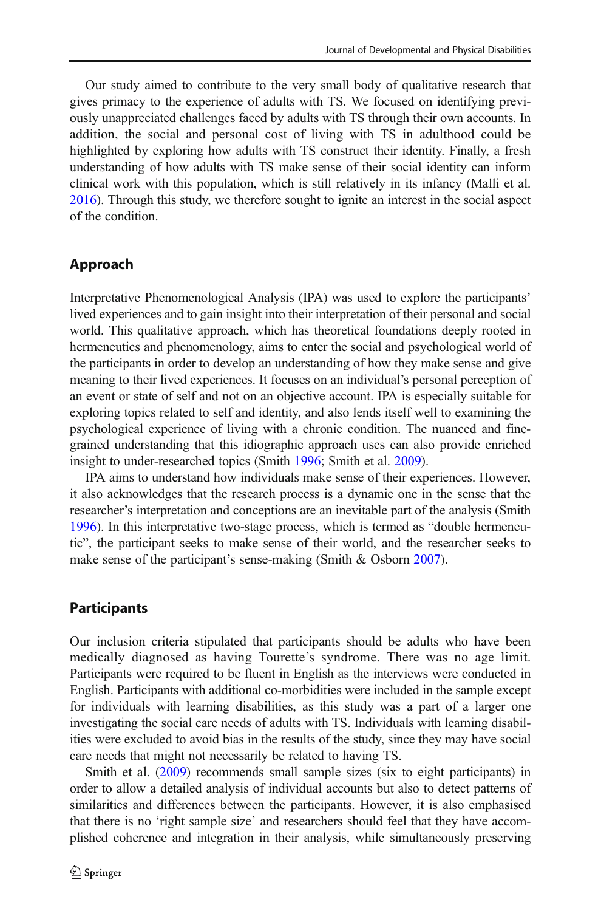Our study aimed to contribute to the very small body of qualitative research that gives primacy to the experience of adults with TS. We focused on identifying previously unappreciated challenges faced by adults with TS through their own accounts. In addition, the social and personal cost of living with TS in adulthood could be highlighted by exploring how adults with TS construct their identity. Finally, a fresh understanding of how adults with TS make sense of their social identity can inform clinical work with this population, which is still relatively in its infancy (Malli et al. 2016). Through this study, we therefore sought to ignite an interest in the social aspect of the condition.

#### Approach

Interpretative Phenomenological Analysis (IPA) was used to explore the participants' lived experiences and to gain insight into their interpretation of their personal and social world. This qualitative approach, which has theoretical foundations deeply rooted in hermeneutics and phenomenology, aims to enter the social and psychological world of the participants in order to develop an understanding of how they make sense and give meaning to their lived experiences. It focuses on an individual's personal perception of an event or state of self and not on an objective account. IPA is especially suitable for exploring topics related to self and identity, and also lends itself well to examining the psychological experience of living with a chronic condition. The nuanced and finegrained understanding that this idiographic approach uses can also provide enriched insight to under-researched topics (Smith 1996; Smith et al. 2009).

IPA aims to understand how individuals make sense of their experiences. However, it also acknowledges that the research process is a dynamic one in the sense that the researcher's interpretation and conceptions are an inevitable part of the analysis (Smith 1996). In this interpretative two-stage process, which is termed as "double hermeneutic", the participant seeks to make sense of their world, and the researcher seeks to make sense of the participant's sense-making (Smith & Osborn 2007).

#### **Participants**

Our inclusion criteria stipulated that participants should be adults who have been medically diagnosed as having Tourette's syndrome. There was no age limit. Participants were required to be fluent in English as the interviews were conducted in English. Participants with additional co-morbidities were included in the sample except for individuals with learning disabilities, as this study was a part of a larger one investigating the social care needs of adults with TS. Individuals with learning disabilities were excluded to avoid bias in the results of the study, since they may have social care needs that might not necessarily be related to having TS.

Smith et al. (2009) recommends small sample sizes (six to eight participants) in order to allow a detailed analysis of individual accounts but also to detect patterns of similarities and differences between the participants. However, it is also emphasised that there is no 'right sample size' and researchers should feel that they have accomplished coherence and integration in their analysis, while simultaneously preserving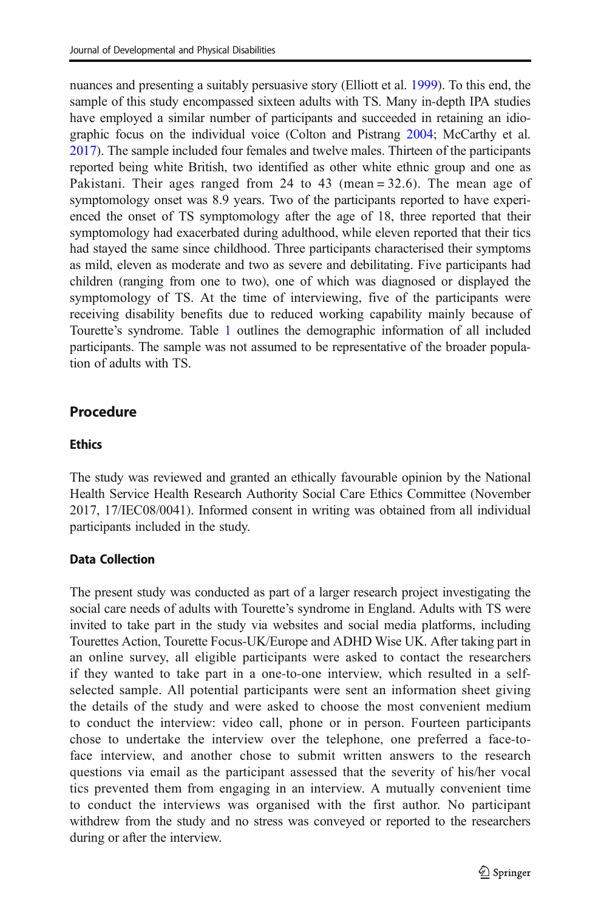nuances and presenting a suitably persuasive story (Elliott et al. 1999). To this end, the sample of this study encompassed sixteen adults with TS. Many in-depth IPA studies have employed a similar number of participants and succeeded in retaining an idiographic focus on the individual voice (Colton and Pistrang 2004; McCarthy et al. 2017). The sample included four females and twelve males. Thirteen of the participants reported being white British, two identified as other white ethnic group and one as Pakistani. Their ages ranged from 24 to 43 (mean = 32.6). The mean age of symptomology onset was 8.9 years. Two of the participants reported to have experienced the onset of TS symptomology after the age of 18, three reported that their symptomology had exacerbated during adulthood, while eleven reported that their tics had stayed the same since childhood. Three participants characterised their symptoms as mild, eleven as moderate and two as severe and debilitating. Five participants had children (ranging from one to two), one of which was diagnosed or displayed the symptomology of TS. At the time of interviewing, five of the participants were receiving disability benefits due to reduced working capability mainly because of Tourette's syndrome. Table 1 outlines the demographic information of all included participants. The sample was not assumed to be representative of the broader population of adults with TS.

#### Procedure

#### **Ethics**

The study was reviewed and granted an ethically favourable opinion by the National Health Service Health Research Authority Social Care Ethics Committee (November 2017, 17/IEC08/0041). Informed consent in writing was obtained from all individual participants included in the study.

#### Data Collection

The present study was conducted as part of a larger research project investigating the social care needs of adults with Tourette's syndrome in England. Adults with TS were invited to take part in the study via websites and social media platforms, including Tourettes Action, Tourette Focus-UK/Europe and ADHD Wise UK. After taking part in an online survey, all eligible participants were asked to contact the researchers if they wanted to take part in a one-to-one interview, which resulted in a selfselected sample. All potential participants were sent an information sheet giving the details of the study and were asked to choose the most convenient medium to conduct the interview: video call, phone or in person. Fourteen participants chose to undertake the interview over the telephone, one preferred a face-toface interview, and another chose to submit written answers to the research questions via email as the participant assessed that the severity of his/her vocal tics prevented them from engaging in an interview. A mutually convenient time to conduct the interviews was organised with the first author. No participant withdrew from the study and no stress was conveyed or reported to the researchers during or after the interview.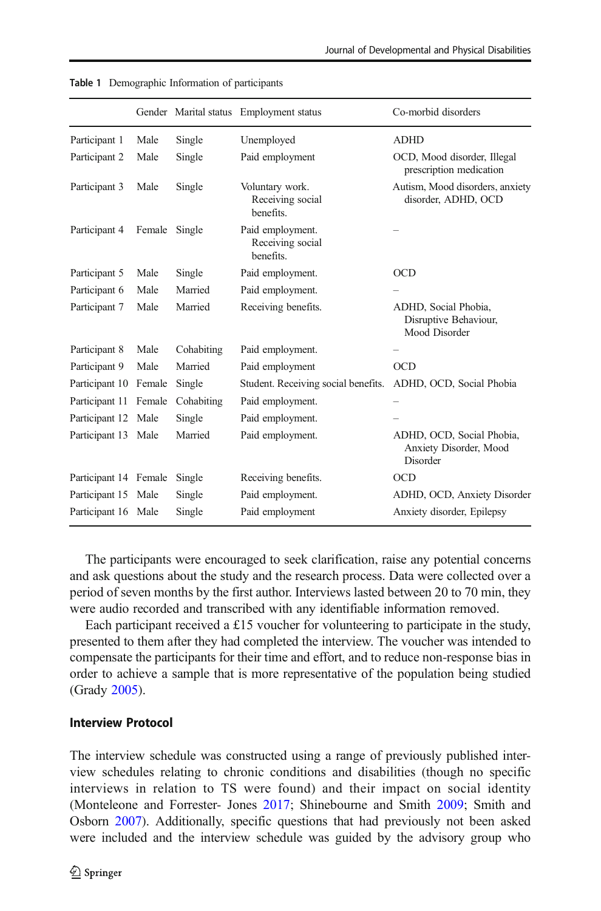|                       |        |            | Gender Marital status Employment status           | Co-morbid disorders                                             |  |
|-----------------------|--------|------------|---------------------------------------------------|-----------------------------------------------------------------|--|
| Participant 1         | Male   | Single     | Unemployed                                        | <b>ADHD</b>                                                     |  |
| Participant 2         | Male   | Single     | Paid employment                                   | OCD, Mood disorder, Illegal<br>prescription medication          |  |
| Participant 3         | Male   | Single     | Voluntary work.<br>Receiving social<br>benefits.  | Autism, Mood disorders, anxiety<br>disorder, ADHD, OCD          |  |
| Participant 4         | Female | Single     | Paid employment.<br>Receiving social<br>benefits. |                                                                 |  |
| Participant 5         | Male   | Single     | Paid employment.                                  | <b>OCD</b>                                                      |  |
| Participant 6         | Male   | Married    | Paid employment.                                  |                                                                 |  |
| Participant 7         | Male   | Married    | Receiving benefits.                               | ADHD, Social Phobia,<br>Disruptive Behaviour,<br>Mood Disorder  |  |
| Participant 8         | Male   | Cohabiting | Paid employment.                                  |                                                                 |  |
| Participant 9         | Male   | Married    | Paid employment                                   | <b>OCD</b>                                                      |  |
| Participant 10        | Female | Single     | Student. Receiving social benefits.               | ADHD, OCD, Social Phobia                                        |  |
| Participant 11        | Female | Cohabiting | Paid employment.                                  |                                                                 |  |
| Participant 12        | Male   | Single     | Paid employment.                                  |                                                                 |  |
| Participant 13        | Male   | Married    | Paid employment.                                  | ADHD, OCD, Social Phobia,<br>Anxiety Disorder, Mood<br>Disorder |  |
| Participant 14 Female |        | Single     | Receiving benefits.                               | <b>OCD</b>                                                      |  |
| Participant 15 Male   |        | Single     | Paid employment.                                  | ADHD, OCD, Anxiety Disorder                                     |  |
| Participant 16 Male   |        | Single     | Paid employment                                   | Anxiety disorder, Epilepsy                                      |  |

| Table 1 Demographic Information of participants |  |  |  |  |
|-------------------------------------------------|--|--|--|--|
|-------------------------------------------------|--|--|--|--|

The participants were encouraged to seek clarification, raise any potential concerns and ask questions about the study and the research process. Data were collected over a period of seven months by the first author. Interviews lasted between 20 to 70 min, they were audio recorded and transcribed with any identifiable information removed.

Each participant received a £15 voucher for volunteering to participate in the study, presented to them after they had completed the interview. The voucher was intended to compensate the participants for their time and effort, and to reduce non-response bias in order to achieve a sample that is more representative of the population being studied (Grady 2005).

#### Interview Protocol

The interview schedule was constructed using a range of previously published interview schedules relating to chronic conditions and disabilities (though no specific interviews in relation to TS were found) and their impact on social identity (Monteleone and Forrester- Jones 2017; Shinebourne and Smith 2009; Smith and Osborn 2007). Additionally, specific questions that had previously not been asked were included and the interview schedule was guided by the advisory group who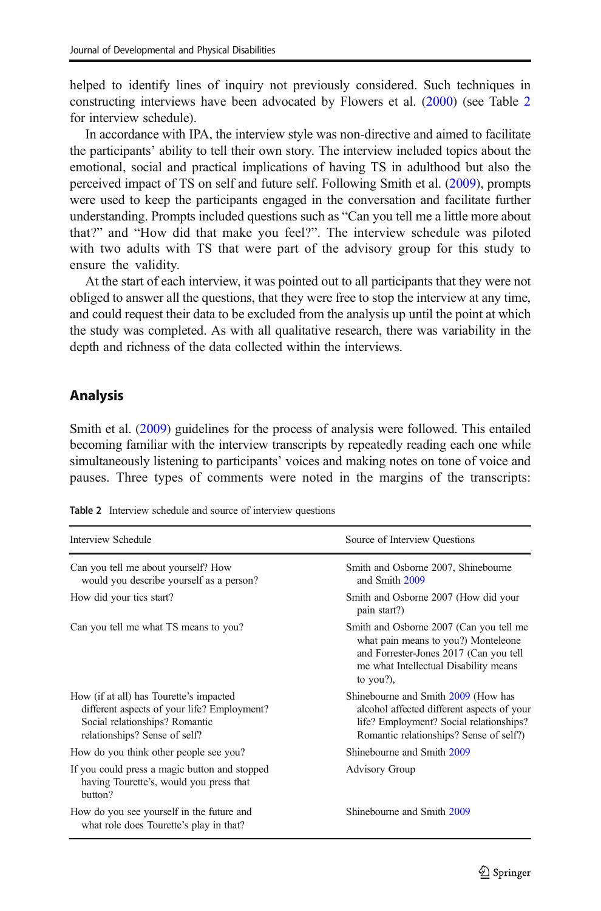helped to identify lines of inquiry not previously considered. Such techniques in constructing interviews have been advocated by Flowers et al. (2000) (see Table 2 for interview schedule).

In accordance with IPA, the interview style was non-directive and aimed to facilitate the participants' ability to tell their own story. The interview included topics about the emotional, social and practical implications of having TS in adulthood but also the perceived impact of TS on self and future self. Following Smith et al. (2009), prompts were used to keep the participants engaged in the conversation and facilitate further understanding. Prompts included questions such as "Can you tell me a little more about that?" and "How did that make you feel?". The interview schedule was piloted with two adults with TS that were part of the advisory group for this study to ensure the validity.

At the start of each interview, it was pointed out to all participants that they were not obliged to answer all the questions, that they were free to stop the interview at any time, and could request their data to be excluded from the analysis up until the point at which the study was completed. As with all qualitative research, there was variability in the depth and richness of the data collected within the interviews.

#### Analysis

Smith et al. (2009) guidelines for the process of analysis were followed. This entailed becoming familiar with the interview transcripts by repeatedly reading each one while simultaneously listening to participants' voices and making notes on tone of voice and pauses. Three types of comments were noted in the margins of the transcripts:

| Interview Schedule                                                                                                                                        | Source of Interview Questions                                                                                                                                                  |  |  |
|-----------------------------------------------------------------------------------------------------------------------------------------------------------|--------------------------------------------------------------------------------------------------------------------------------------------------------------------------------|--|--|
| Can you tell me about yourself? How<br>would you describe yourself as a person?                                                                           | Smith and Osborne 2007, Shinebourne<br>and Smith 2009                                                                                                                          |  |  |
| How did your tics start?                                                                                                                                  | Smith and Osborne 2007 (How did your<br>pain start?)                                                                                                                           |  |  |
| Can you tell me what TS means to you?                                                                                                                     | Smith and Osborne 2007 (Can you tell me<br>what pain means to you?) Monteleone<br>and Forrester-Jones 2017 (Can you tell<br>me what Intellectual Disability means<br>to you?), |  |  |
| How (if at all) has Tourette's impacted<br>different aspects of your life? Employment?<br>Social relationships? Romantic<br>relationships? Sense of self? | Shinebourne and Smith 2009 (How has<br>alcohol affected different aspects of your<br>life? Employment? Social relationships?<br>Romantic relationships? Sense of self?)        |  |  |
| How do you think other people see you?                                                                                                                    | Shinebourne and Smith 2009                                                                                                                                                     |  |  |
| If you could press a magic button and stopped<br>having Tourette's, would you press that<br>button?                                                       | <b>Advisory Group</b>                                                                                                                                                          |  |  |
| How do you see yourself in the future and<br>what role does Tourette's play in that?                                                                      | Shinebourne and Smith 2009                                                                                                                                                     |  |  |

Table 2 Interview schedule and source of interview questions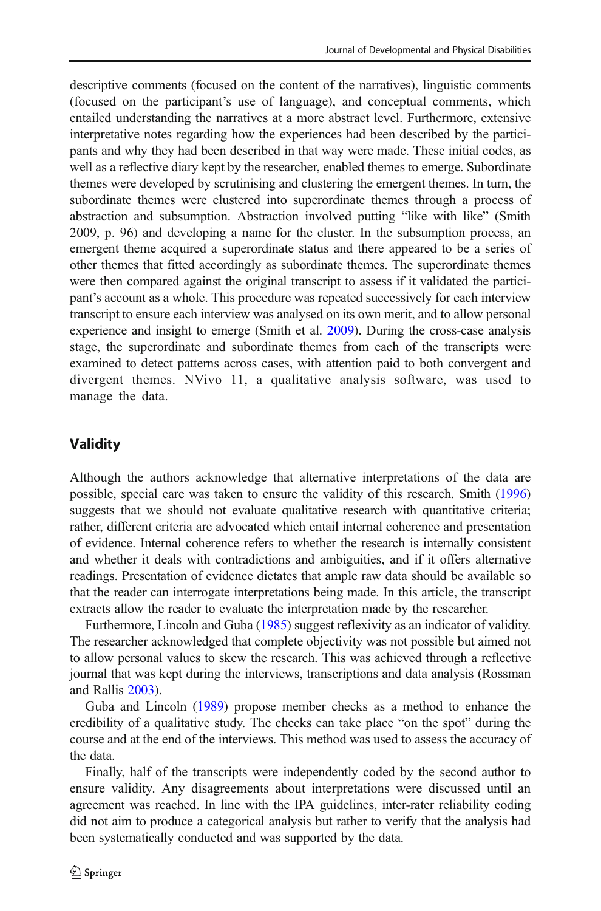descriptive comments (focused on the content of the narratives), linguistic comments (focused on the participant's use of language), and conceptual comments, which entailed understanding the narratives at a more abstract level. Furthermore, extensive interpretative notes regarding how the experiences had been described by the participants and why they had been described in that way were made. These initial codes, as well as a reflective diary kept by the researcher, enabled themes to emerge. Subordinate themes were developed by scrutinising and clustering the emergent themes. In turn, the subordinate themes were clustered into superordinate themes through a process of abstraction and subsumption. Abstraction involved putting "like with like" (Smith 2009, p. 96) and developing a name for the cluster. In the subsumption process, an emergent theme acquired a superordinate status and there appeared to be a series of other themes that fitted accordingly as subordinate themes. The superordinate themes were then compared against the original transcript to assess if it validated the participant's account as a whole. This procedure was repeated successively for each interview transcript to ensure each interview was analysed on its own merit, and to allow personal experience and insight to emerge (Smith et al. 2009). During the cross-case analysis stage, the superordinate and subordinate themes from each of the transcripts were examined to detect patterns across cases, with attention paid to both convergent and divergent themes. NVivo 11, a qualitative analysis software, was used to manage the data.

#### Validity

Although the authors acknowledge that alternative interpretations of the data are possible, special care was taken to ensure the validity of this research. Smith (1996) suggests that we should not evaluate qualitative research with quantitative criteria; rather, different criteria are advocated which entail internal coherence and presentation of evidence. Internal coherence refers to whether the research is internally consistent and whether it deals with contradictions and ambiguities, and if it offers alternative readings. Presentation of evidence dictates that ample raw data should be available so that the reader can interrogate interpretations being made. In this article, the transcript extracts allow the reader to evaluate the interpretation made by the researcher.

Furthermore, Lincoln and Guba (1985) suggest reflexivity as an indicator of validity. The researcher acknowledged that complete objectivity was not possible but aimed not to allow personal values to skew the research. This was achieved through a reflective journal that was kept during the interviews, transcriptions and data analysis (Rossman and Rallis 2003).

Guba and Lincoln (1989) propose member checks as a method to enhance the credibility of a qualitative study. The checks can take place "on the spot" during the course and at the end of the interviews. This method was used to assess the accuracy of the data.

Finally, half of the transcripts were independently coded by the second author to ensure validity. Any disagreements about interpretations were discussed until an agreement was reached. In line with the IPA guidelines, inter-rater reliability coding did not aim to produce a categorical analysis but rather to verify that the analysis had been systematically conducted and was supported by the data.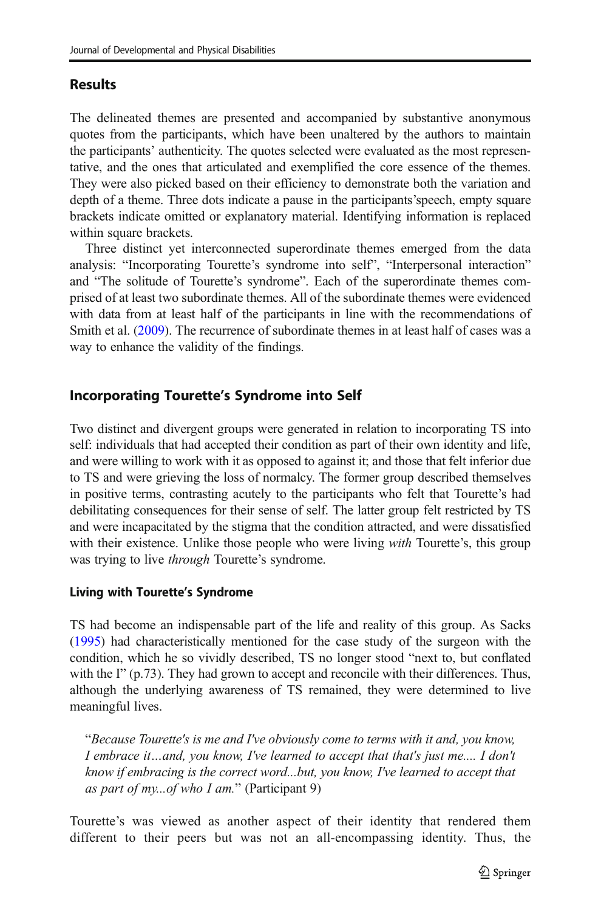#### **Results**

The delineated themes are presented and accompanied by substantive anonymous quotes from the participants, which have been unaltered by the authors to maintain the participants' authenticity. The quotes selected were evaluated as the most representative, and the ones that articulated and exemplified the core essence of the themes. They were also picked based on their efficiency to demonstrate both the variation and depth of a theme. Three dots indicate a pause in the participants'speech, empty square brackets indicate omitted or explanatory material. Identifying information is replaced within square brackets.

Three distinct yet interconnected superordinate themes emerged from the data analysis: "Incorporating Tourette's syndrome into self", "Interpersonal interaction" and "The solitude of Tourette's syndrome". Each of the superordinate themes comprised of at least two subordinate themes. All of the subordinate themes were evidenced with data from at least half of the participants in line with the recommendations of Smith et al. (2009). The recurrence of subordinate themes in at least half of cases was a way to enhance the validity of the findings.

#### Incorporating Tourette's Syndrome into Self

Two distinct and divergent groups were generated in relation to incorporating TS into self: individuals that had accepted their condition as part of their own identity and life, and were willing to work with it as opposed to against it; and those that felt inferior due to TS and were grieving the loss of normalcy. The former group described themselves in positive terms, contrasting acutely to the participants who felt that Tourette's had debilitating consequences for their sense of self. The latter group felt restricted by TS and were incapacitated by the stigma that the condition attracted, and were dissatisfied with their existence. Unlike those people who were living *with* Tourette's, this group was trying to live *through* Tourette's syndrome.

#### Living with Tourette's Syndrome

TS had become an indispensable part of the life and reality of this group. As Sacks (1995) had characteristically mentioned for the case study of the surgeon with the condition, which he so vividly described, TS no longer stood "next to, but conflated with the I" (p.73). They had grown to accept and reconcile with their differences. Thus, although the underlying awareness of TS remained, they were determined to live meaningful lives.

"Because Tourette's is me and I've obviously come to terms with it and, you know, I embrace it…and, you know, I've learned to accept that that's just me.... I don't know if embracing is the correct word...but, you know, I've learned to accept that as part of my...of who I am." (Participant 9)

Tourette's was viewed as another aspect of their identity that rendered them different to their peers but was not an all-encompassing identity. Thus, the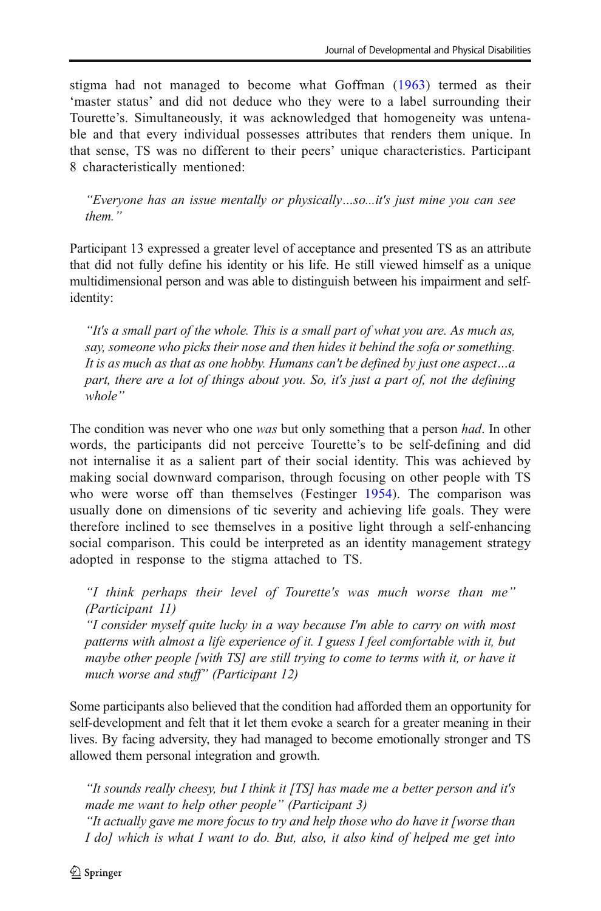stigma had not managed to become what Goffman (1963) termed as their 'master status' and did not deduce who they were to a label surrounding their Tourette's. Simultaneously, it was acknowledged that homogeneity was untenable and that every individual possesses attributes that renders them unique. In that sense, TS was no different to their peers' unique characteristics. Participant 8 characteristically mentioned:

"Everyone has an issue mentally or physically…so...it's just mine you can see them."

Participant 13 expressed a greater level of acceptance and presented TS as an attribute that did not fully define his identity or his life. He still viewed himself as a unique multidimensional person and was able to distinguish between his impairment and selfidentity:

"It's a small part of the whole. This is a small part of what you are. As much as, say, someone who picks their nose and then hides it behind the sofa or something. It is as much as that as one hobby. Humans can't be defined by just one aspect…a part, there are a lot of things about you. So, it's just a part of, not the defining whole"

The condition was never who one *was* but only something that a person *had*. In other words, the participants did not perceive Tourette's to be self-defining and did not internalise it as a salient part of their social identity. This was achieved by making social downward comparison, through focusing on other people with TS who were worse off than themselves (Festinger 1954). The comparison was usually done on dimensions of tic severity and achieving life goals. They were therefore inclined to see themselves in a positive light through a self-enhancing social comparison. This could be interpreted as an identity management strategy adopted in response to the stigma attached to TS.

"I think perhaps their level of Tourette's was much worse than me" (Participant 11)

"I consider myself quite lucky in a way because I'm able to carry on with most patterns with almost a life experience of it. I guess I feel comfortable with it, but maybe other people [with TS] are still trying to come to terms with it, or have it much worse and stuff" (Participant 12)

Some participants also believed that the condition had afforded them an opportunity for self-development and felt that it let them evoke a search for a greater meaning in their lives. By facing adversity, they had managed to become emotionally stronger and TS allowed them personal integration and growth.

"It sounds really cheesy, but I think it  $[TS]$  has made me a better person and it's made me want to help other people" (Participant 3)

"It actually gave me more focus to try and help those who do have it [worse than I do] which is what I want to do. But, also, it also kind of helped me get into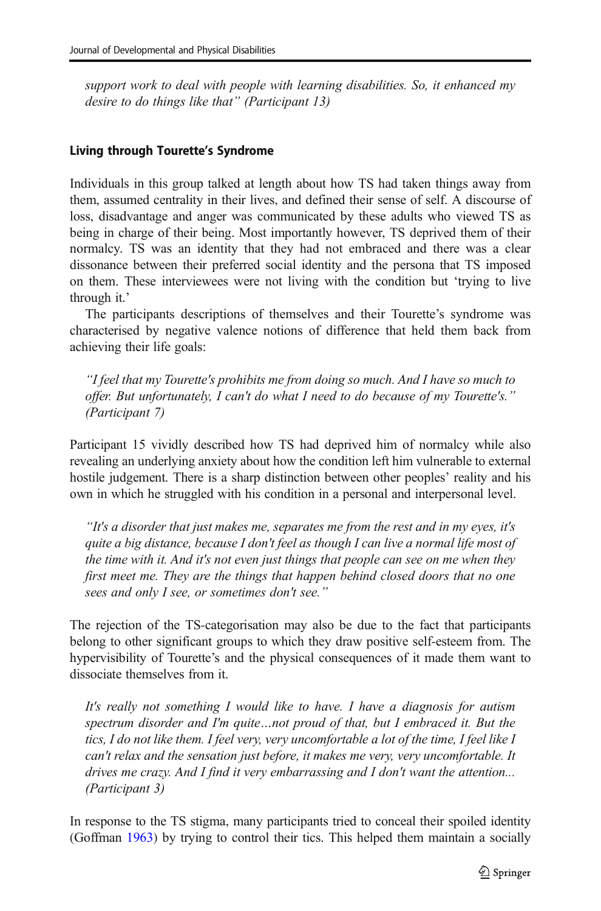support work to deal with people with learning disabilities. So, it enhanced my desire to do things like that" (Participant 13)

#### Living through Tourette's Syndrome

Individuals in this group talked at length about how TS had taken things away from them, assumed centrality in their lives, and defined their sense of self. A discourse of loss, disadvantage and anger was communicated by these adults who viewed TS as being in charge of their being. Most importantly however, TS deprived them of their normalcy. TS was an identity that they had not embraced and there was a clear dissonance between their preferred social identity and the persona that TS imposed on them. These interviewees were not living with the condition but 'trying to live through it.'

The participants descriptions of themselves and their Tourette's syndrome was characterised by negative valence notions of difference that held them back from achieving their life goals:

"I feel that my Tourette's prohibits me from doing so much. And I have so much to offer. But unfortunately, I can't do what I need to do because of my Tourette's." (Participant 7)

Participant 15 vividly described how TS had deprived him of normalcy while also revealing an underlying anxiety about how the condition left him vulnerable to external hostile judgement. There is a sharp distinction between other peoples' reality and his own in which he struggled with his condition in a personal and interpersonal level.

"It's a disorder that just makes me, separates me from the rest and in my eyes, it's quite a big distance, because I don't feel as though I can live a normal life most of the time with it. And it's not even just things that people can see on me when they first meet me. They are the things that happen behind closed doors that no one sees and only I see, or sometimes don't see."

The rejection of the TS-categorisation may also be due to the fact that participants belong to other significant groups to which they draw positive self-esteem from. The hypervisibility of Tourette's and the physical consequences of it made them want to dissociate themselves from it.

It's really not something I would like to have. I have a diagnosis for autism spectrum disorder and I'm quite…not proud of that, but I embraced it. But the tics, I do not like them. I feel very, very uncomfortable a lot of the time, I feel like I can't relax and the sensation just before, it makes me very, very uncomfortable. It drives me crazy. And I find it very embarrassing and I don't want the attention... (Participant 3)

In response to the TS stigma, many participants tried to conceal their spoiled identity (Goffman 1963) by trying to control their tics. This helped them maintain a socially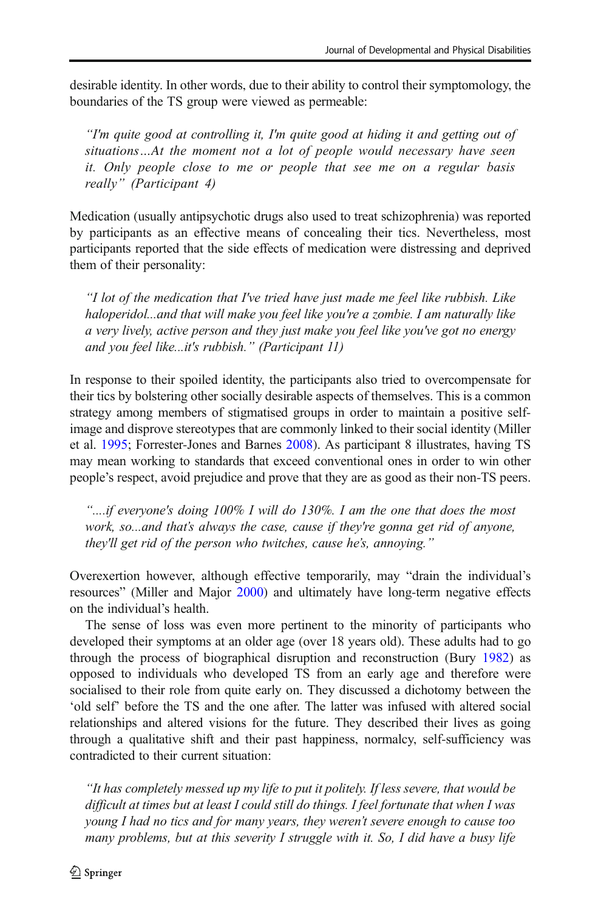desirable identity. In other words, due to their ability to control their symptomology, the boundaries of the TS group were viewed as permeable:

"I'm quite good at controlling it, I'm quite good at hiding it and getting out of situations…At the moment not a lot of people would necessary have seen it. Only people close to me or people that see me on a regular basis really" (Participant 4)

Medication (usually antipsychotic drugs also used to treat schizophrenia) was reported by participants as an effective means of concealing their tics. Nevertheless, most participants reported that the side effects of medication were distressing and deprived them of their personality:

"I lot of the medication that I've tried have just made me feel like rubbish. Like haloperidol...and that will make you feel like you're a zombie. I am naturally like a very lively, active person and they just make you feel like you've got no energy and you feel like...it's rubbish." (Participant 11)

In response to their spoiled identity, the participants also tried to overcompensate for their tics by bolstering other socially desirable aspects of themselves. This is a common strategy among members of stigmatised groups in order to maintain a positive selfimage and disprove stereotypes that are commonly linked to their social identity (Miller et al. 1995; Forrester-Jones and Barnes 2008). As participant 8 illustrates, having TS may mean working to standards that exceed conventional ones in order to win other people's respect, avoid prejudice and prove that they are as good as their non-TS peers.

"....if everyone's doing 100% I will do 130%. I am the one that does the most work, so...and that's always the case, cause if they're gonna get rid of anyone, they'll get rid of the person who twitches, cause he's, annoying."

Overexertion however, although effective temporarily, may "drain the individual's resources" (Miller and Major 2000) and ultimately have long-term negative effects on the individual's health.

The sense of loss was even more pertinent to the minority of participants who developed their symptoms at an older age (over 18 years old). These adults had to go through the process of biographical disruption and reconstruction (Bury 1982) as opposed to individuals who developed TS from an early age and therefore were socialised to their role from quite early on. They discussed a dichotomy between the 'old self' before the TS and the one after. The latter was infused with altered social relationships and altered visions for the future. They described their lives as going through a qualitative shift and their past happiness, normalcy, self-sufficiency was contradicted to their current situation:

"It has completely messed up my life to put it politely. If less severe, that would be difficult at times but at least I could still do things. I feel fortunate that when I was young I had no tics and for many years, they weren't severe enough to cause too many problems, but at this severity I struggle with it. So, I did have a busy life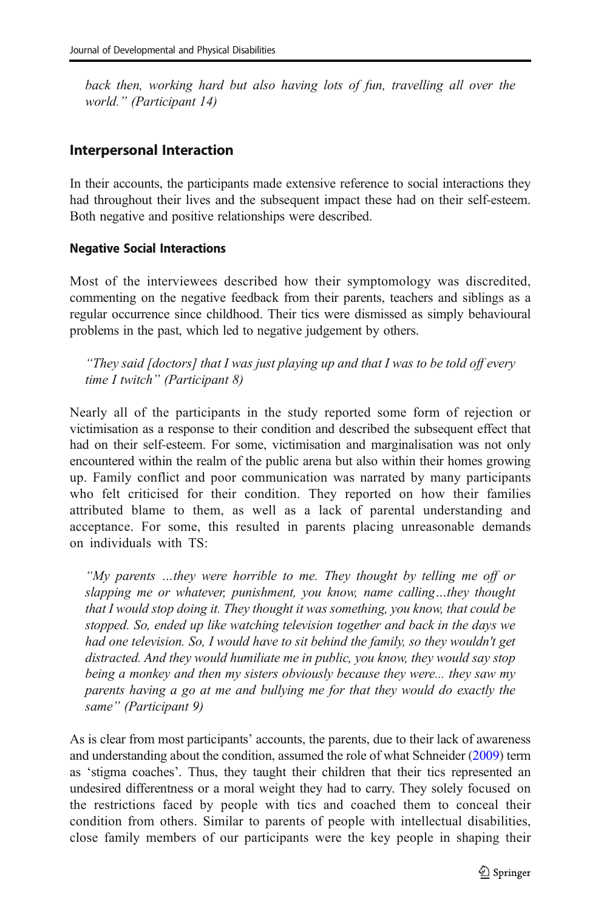back then, working hard but also having lots of fun, travelling all over the world." (Participant 14)

#### Interpersonal Interaction

In their accounts, the participants made extensive reference to social interactions they had throughout their lives and the subsequent impact these had on their self-esteem. Both negative and positive relationships were described.

#### Negative Social Interactions

Most of the interviewees described how their symptomology was discredited, commenting on the negative feedback from their parents, teachers and siblings as a regular occurrence since childhood. Their tics were dismissed as simply behavioural problems in the past, which led to negative judgement by others.

"They said  $\lceil$  doctors] that I was just playing up and that I was to be told off every time I twitch" (Participant 8)

Nearly all of the participants in the study reported some form of rejection or victimisation as a response to their condition and described the subsequent effect that had on their self-esteem. For some, victimisation and marginalisation was not only encountered within the realm of the public arena but also within their homes growing up. Family conflict and poor communication was narrated by many participants who felt criticised for their condition. They reported on how their families attributed blame to them, as well as a lack of parental understanding and acceptance. For some, this resulted in parents placing unreasonable demands on individuals with TS:

"My parents …they were horrible to me. They thought by telling me off or slapping me or whatever, punishment, you know, name calling…they thought that I would stop doing it. They thought it was something, you know, that could be stopped. So, ended up like watching television together and back in the days we had one television. So, I would have to sit behind the family, so they wouldn't get distracted. And they would humiliate me in public, you know, they would say stop being a monkey and then my sisters obviously because they were... they saw my parents having a go at me and bullying me for that they would do exactly the same" (Participant 9)

As is clear from most participants' accounts, the parents, due to their lack of awareness and understanding about the condition, assumed the role of what Schneider (2009) term as 'stigma coaches'. Thus, they taught their children that their tics represented an undesired differentness or a moral weight they had to carry. They solely focused on the restrictions faced by people with tics and coached them to conceal their condition from others. Similar to parents of people with intellectual disabilities, close family members of our participants were the key people in shaping their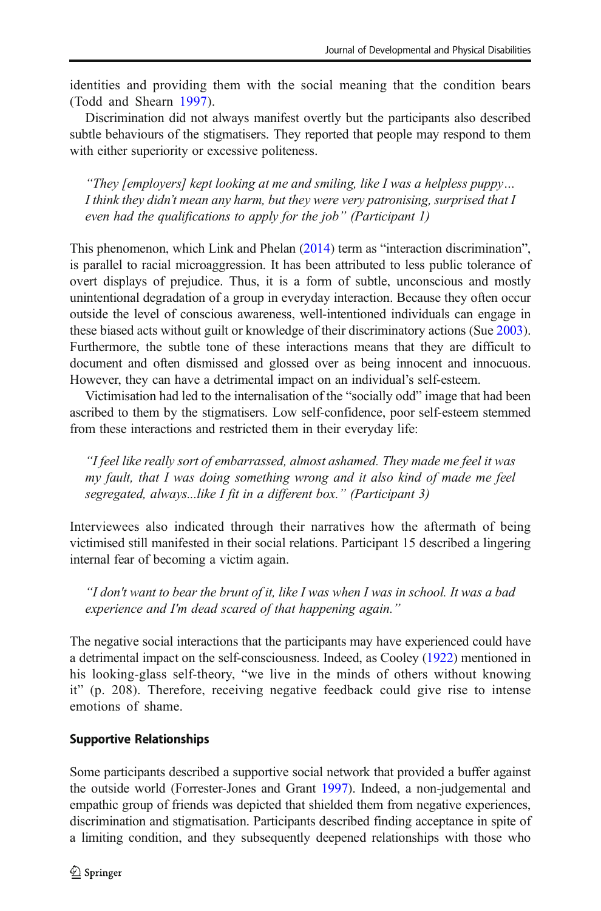identities and providing them with the social meaning that the condition bears (Todd and Shearn 1997).

Discrimination did not always manifest overtly but the participants also described subtle behaviours of the stigmatisers. They reported that people may respond to them with either superiority or excessive politeness.

"They [employers] kept looking at me and smiling, like I was a helpless puppy… I think they didn't mean any harm, but they were very patronising, surprised that I even had the qualifications to apply for the job" (Participant 1)

This phenomenon, which Link and Phelan (2014) term as "interaction discrimination", is parallel to racial microaggression. It has been attributed to less public tolerance of overt displays of prejudice. Thus, it is a form of subtle, unconscious and mostly unintentional degradation of a group in everyday interaction. Because they often occur outside the level of conscious awareness, well-intentioned individuals can engage in these biased acts without guilt or knowledge of their discriminatory actions (Sue 2003). Furthermore, the subtle tone of these interactions means that they are difficult to document and often dismissed and glossed over as being innocent and innocuous. However, they can have a detrimental impact on an individual's self-esteem.

Victimisation had led to the internalisation of the "socially odd" image that had been ascribed to them by the stigmatisers. Low self-confidence, poor self-esteem stemmed from these interactions and restricted them in their everyday life:

"I feel like really sort of embarrassed, almost ashamed. They made me feel it was my fault, that I was doing something wrong and it also kind of made me feel segregated, always...like I fit in a different box." (Participant 3)

Interviewees also indicated through their narratives how the aftermath of being victimised still manifested in their social relations. Participant 15 described a lingering internal fear of becoming a victim again.

"I don't want to bear the brunt of it, like I was when I was in school. It was a bad experience and I'm dead scared of that happening again."

The negative social interactions that the participants may have experienced could have a detrimental impact on the self-consciousness. Indeed, as Cooley (1922) mentioned in his looking-glass self-theory, "we live in the minds of others without knowing it" (p. 208). Therefore, receiving negative feedback could give rise to intense emotions of shame.

#### Supportive Relationships

Some participants described a supportive social network that provided a buffer against the outside world (Forrester-Jones and Grant 1997). Indeed, a non-judgemental and empathic group of friends was depicted that shielded them from negative experiences, discrimination and stigmatisation. Participants described finding acceptance in spite of a limiting condition, and they subsequently deepened relationships with those who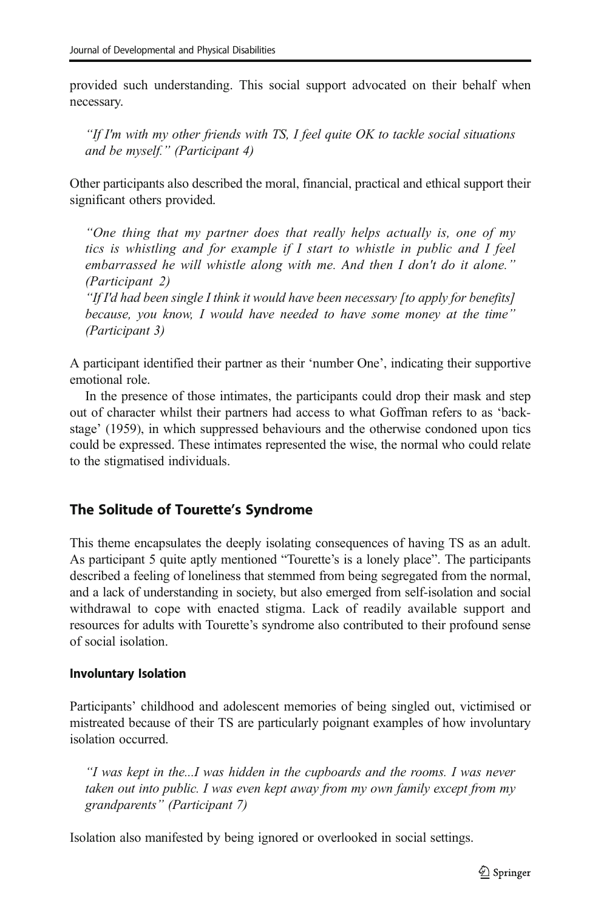provided such understanding. This social support advocated on their behalf when necessary.

"If I'm with my other friends with TS, I feel quite  $OK$  to tackle social situations and be myself." (Participant 4)

Other participants also described the moral, financial, practical and ethical support their significant others provided.

"One thing that my partner does that really helps actually is, one of my tics is whistling and for example if I start to whistle in public and I feel embarrassed he will whistle along with me. And then I don't do it alone." (Participant 2)

"If I'd had been single I think it would have been necessary [to apply for benefits] because, you know, I would have needed to have some money at the time" (Participant 3)

A participant identified their partner as their 'number One', indicating their supportive emotional role.

In the presence of those intimates, the participants could drop their mask and step out of character whilst their partners had access to what Goffman refers to as 'backstage' (1959), in which suppressed behaviours and the otherwise condoned upon tics could be expressed. These intimates represented the wise, the normal who could relate to the stigmatised individuals.

#### The Solitude of Tourette's Syndrome

This theme encapsulates the deeply isolating consequences of having TS as an adult. As participant 5 quite aptly mentioned "Tourette's is a lonely place". The participants described a feeling of loneliness that stemmed from being segregated from the normal, and a lack of understanding in society, but also emerged from self-isolation and social withdrawal to cope with enacted stigma. Lack of readily available support and resources for adults with Tourette's syndrome also contributed to their profound sense of social isolation.

#### Involuntary Isolation

Participants' childhood and adolescent memories of being singled out, victimised or mistreated because of their TS are particularly poignant examples of how involuntary isolation occurred.

"I was kept in the...I was hidden in the cupboards and the rooms. I was never taken out into public. I was even kept away from my own family except from my grandparents" (Participant 7)

Isolation also manifested by being ignored or overlooked in social settings.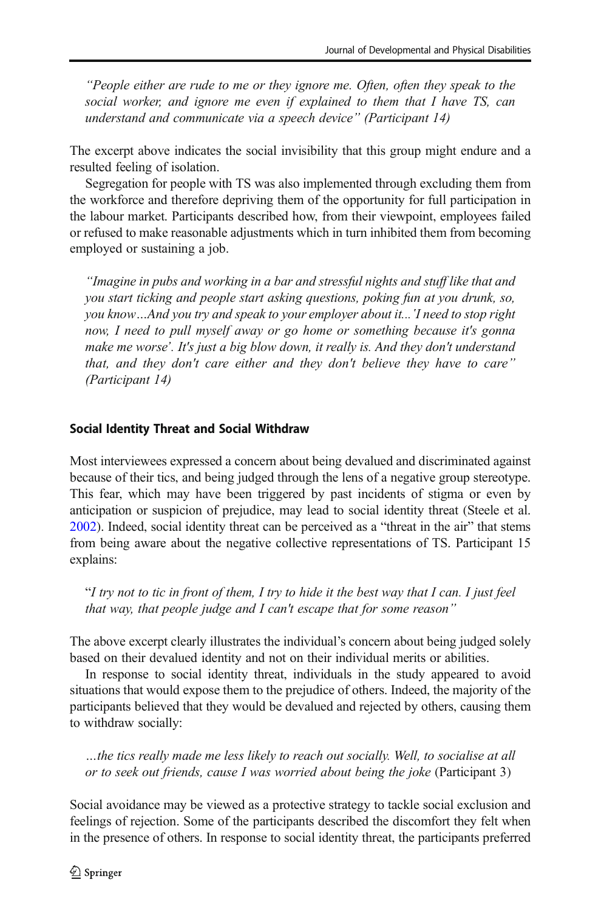"People either are rude to me or they ignore me. Often, often they speak to the social worker, and ignore me even if explained to them that I have TS, can understand and communicate via a speech device" (Participant 14)

The excerpt above indicates the social invisibility that this group might endure and a resulted feeling of isolation.

Segregation for people with TS was also implemented through excluding them from the workforce and therefore depriving them of the opportunity for full participation in the labour market. Participants described how, from their viewpoint, employees failed or refused to make reasonable adjustments which in turn inhibited them from becoming employed or sustaining a job.

"Imagine in pubs and working in a bar and stressful nights and stuff like that and you start ticking and people start asking questions, poking fun at you drunk, so, you know…And you try and speak to your employer about it...'I need to stop right now, I need to pull myself away or go home or something because it's gonna make me worse'. It's just a big blow down, it really is. And they don't understand that, and they don't care either and they don't believe they have to care" (Participant 14)

#### Social Identity Threat and Social Withdraw

Most interviewees expressed a concern about being devalued and discriminated against because of their tics, and being judged through the lens of a negative group stereotype. This fear, which may have been triggered by past incidents of stigma or even by anticipation or suspicion of prejudice, may lead to social identity threat (Steele et al. 2002). Indeed, social identity threat can be perceived as a "threat in the air" that stems from being aware about the negative collective representations of TS. Participant 15 explains:

"I try not to tic in front of them, I try to hide it the best way that I can. I just feel that way, that people judge and I can't escape that for some reason"

The above excerpt clearly illustrates the individual's concern about being judged solely based on their devalued identity and not on their individual merits or abilities.

In response to social identity threat, individuals in the study appeared to avoid situations that would expose them to the prejudice of others. Indeed, the majority of the participants believed that they would be devalued and rejected by others, causing them to withdraw socially:

…the tics really made me less likely to reach out socially. Well, to socialise at all or to seek out friends, cause I was worried about being the joke (Participant 3)

Social avoidance may be viewed as a protective strategy to tackle social exclusion and feelings of rejection. Some of the participants described the discomfort they felt when in the presence of others. In response to social identity threat, the participants preferred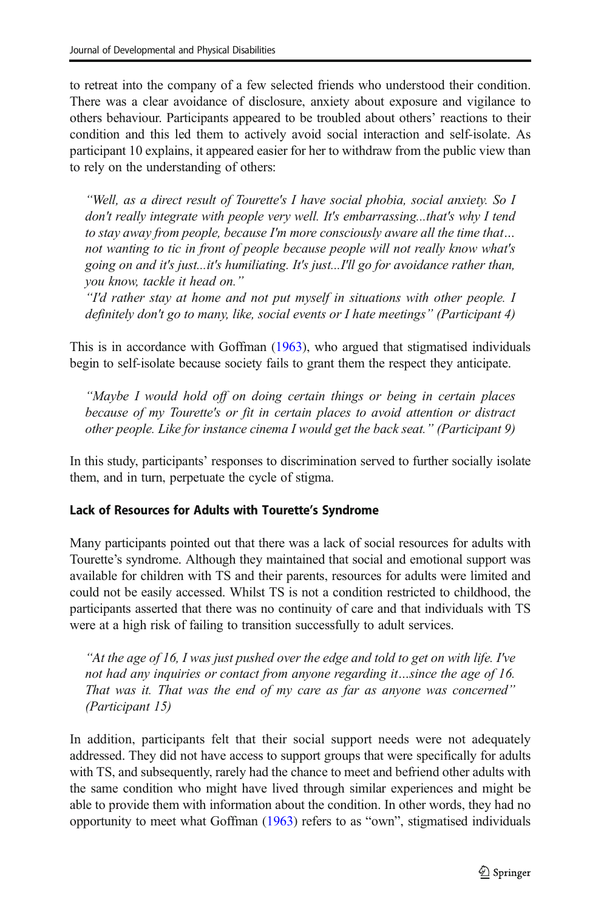to retreat into the company of a few selected friends who understood their condition. There was a clear avoidance of disclosure, anxiety about exposure and vigilance to others behaviour. Participants appeared to be troubled about others' reactions to their condition and this led them to actively avoid social interaction and self-isolate. As participant 10 explains, it appeared easier for her to withdraw from the public view than to rely on the understanding of others:

"Well, as a direct result of Tourette's I have social phobia, social anxiety. So I don't really integrate with people very well. It's embarrassing...that's why I tend to stay away from people, because I'm more consciously aware all the time that… not wanting to tic in front of people because people will not really know what's going on and it's just...it's humiliating. It's just...I'll go for avoidance rather than, you know, tackle it head on."

"I'd rather stay at home and not put myself in situations with other people. I definitely don't go to many, like, social events or I hate meetings" (Participant 4)

This is in accordance with Goffman (1963), who argued that stigmatised individuals begin to self-isolate because society fails to grant them the respect they anticipate.

"Maybe I would hold off on doing certain things or being in certain places because of my Tourette's or fit in certain places to avoid attention or distract other people. Like for instance cinema I would get the back seat." (Participant 9)

In this study, participants' responses to discrimination served to further socially isolate them, and in turn, perpetuate the cycle of stigma.

#### Lack of Resources for Adults with Tourette's Syndrome

Many participants pointed out that there was a lack of social resources for adults with Tourette's syndrome. Although they maintained that social and emotional support was available for children with TS and their parents, resources for adults were limited and could not be easily accessed. Whilst TS is not a condition restricted to childhood, the participants asserted that there was no continuity of care and that individuals with TS were at a high risk of failing to transition successfully to adult services.

"At the age of 16, I was just pushed over the edge and told to get on with life. I've not had any inquiries or contact from anyone regarding it…since the age of 16. That was it. That was the end of my care as far as anyone was concerned" (Participant 15)

In addition, participants felt that their social support needs were not adequately addressed. They did not have access to support groups that were specifically for adults with TS, and subsequently, rarely had the chance to meet and befriend other adults with the same condition who might have lived through similar experiences and might be able to provide them with information about the condition. In other words, they had no opportunity to meet what Goffman (1963) refers to as "own", stigmatised individuals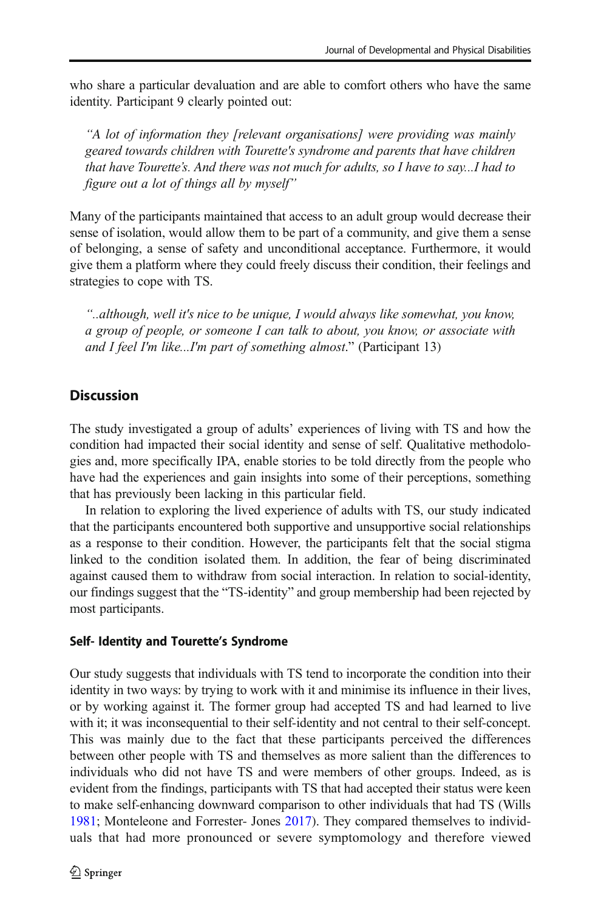who share a particular devaluation and are able to comfort others who have the same identity. Participant 9 clearly pointed out:

"A lot of information they [relevant organisations] were providing was mainly geared towards children with Tourette's syndrome and parents that have children that have Tourette's. And there was not much for adults, so I have to say...I had to figure out a lot of things all by myself"

Many of the participants maintained that access to an adult group would decrease their sense of isolation, would allow them to be part of a community, and give them a sense of belonging, a sense of safety and unconditional acceptance. Furthermore, it would give them a platform where they could freely discuss their condition, their feelings and strategies to cope with TS.

"..although, well it's nice to be unique, I would always like somewhat, you know, a group of people, or someone I can talk to about, you know, or associate with and I feel I'm like...I'm part of something almost." (Participant 13)

#### **Discussion**

The study investigated a group of adults' experiences of living with TS and how the condition had impacted their social identity and sense of self. Qualitative methodologies and, more specifically IPA, enable stories to be told directly from the people who have had the experiences and gain insights into some of their perceptions, something that has previously been lacking in this particular field.

In relation to exploring the lived experience of adults with TS, our study indicated that the participants encountered both supportive and unsupportive social relationships as a response to their condition. However, the participants felt that the social stigma linked to the condition isolated them. In addition, the fear of being discriminated against caused them to withdraw from social interaction. In relation to social-identity, our findings suggest that the "TS-identity" and group membership had been rejected by most participants.

#### Self- Identity and Tourette's Syndrome

Our study suggests that individuals with TS tend to incorporate the condition into their identity in two ways: by trying to work with it and minimise its influence in their lives, or by working against it. The former group had accepted TS and had learned to live with it; it was inconsequential to their self-identity and not central to their self-concept. This was mainly due to the fact that these participants perceived the differences between other people with TS and themselves as more salient than the differences to individuals who did not have TS and were members of other groups. Indeed, as is evident from the findings, participants with TS that had accepted their status were keen to make self-enhancing downward comparison to other individuals that had TS (Wills 1981; Monteleone and Forrester- Jones 2017). They compared themselves to individuals that had more pronounced or severe symptomology and therefore viewed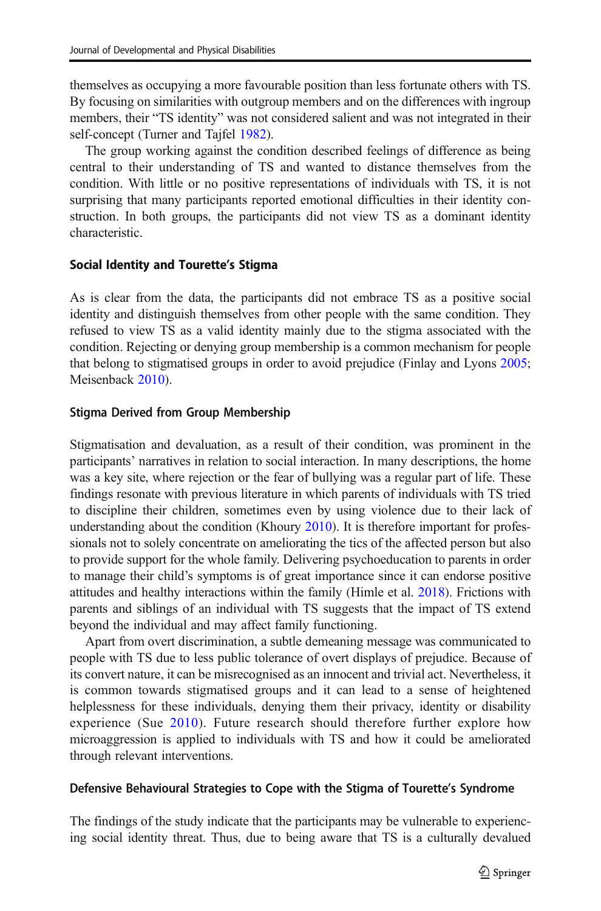themselves as occupying a more favourable position than less fortunate others with TS. By focusing on similarities with outgroup members and on the differences with ingroup members, their "TS identity" was not considered salient and was not integrated in their self-concept (Turner and Tajfel 1982).

The group working against the condition described feelings of difference as being central to their understanding of TS and wanted to distance themselves from the condition. With little or no positive representations of individuals with TS, it is not surprising that many participants reported emotional difficulties in their identity construction. In both groups, the participants did not view TS as a dominant identity characteristic.

#### Social Identity and Tourette's Stigma

As is clear from the data, the participants did not embrace TS as a positive social identity and distinguish themselves from other people with the same condition. They refused to view TS as a valid identity mainly due to the stigma associated with the condition. Rejecting or denying group membership is a common mechanism for people that belong to stigmatised groups in order to avoid prejudice (Finlay and Lyons 2005; Meisenback 2010).

#### Stigma Derived from Group Membership

Stigmatisation and devaluation, as a result of their condition, was prominent in the participants' narratives in relation to social interaction. In many descriptions, the home was a key site, where rejection or the fear of bullying was a regular part of life. These findings resonate with previous literature in which parents of individuals with TS tried to discipline their children, sometimes even by using violence due to their lack of understanding about the condition (Khoury 2010). It is therefore important for professionals not to solely concentrate on ameliorating the tics of the affected person but also to provide support for the whole family. Delivering psychoeducation to parents in order to manage their child's symptoms is of great importance since it can endorse positive attitudes and healthy interactions within the family (Himle et al. 2018). Frictions with parents and siblings of an individual with TS suggests that the impact of TS extend beyond the individual and may affect family functioning.

Apart from overt discrimination, a subtle demeaning message was communicated to people with TS due to less public tolerance of overt displays of prejudice. Because of its convert nature, it can be misrecognised as an innocent and trivial act. Nevertheless, it is common towards stigmatised groups and it can lead to a sense of heightened helplessness for these individuals, denying them their privacy, identity or disability experience (Sue 2010). Future research should therefore further explore how microaggression is applied to individuals with TS and how it could be ameliorated through relevant interventions.

#### Defensive Behavioural Strategies to Cope with the Stigma of Tourette's Syndrome

The findings of the study indicate that the participants may be vulnerable to experiencing social identity threat. Thus, due to being aware that TS is a culturally devalued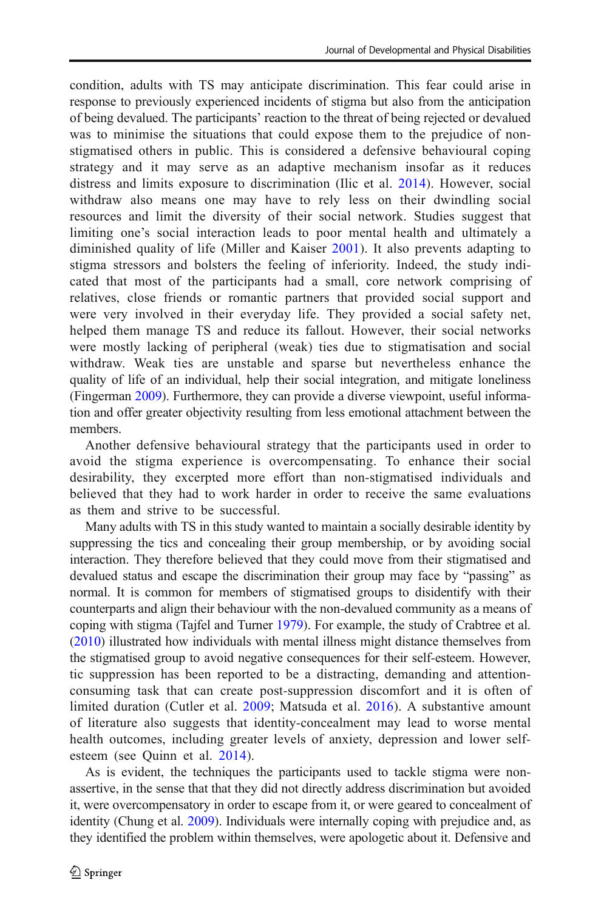condition, adults with TS may anticipate discrimination. This fear could arise in response to previously experienced incidents of stigma but also from the anticipation of being devalued. The participants' reaction to the threat of being rejected or devalued was to minimise the situations that could expose them to the prejudice of nonstigmatised others in public. This is considered a defensive behavioural coping strategy and it may serve as an adaptive mechanism insofar as it reduces distress and limits exposure to discrimination (Ilic et al. 2014). However, social withdraw also means one may have to rely less on their dwindling social resources and limit the diversity of their social network. Studies suggest that limiting one's social interaction leads to poor mental health and ultimately a diminished quality of life (Miller and Kaiser 2001). It also prevents adapting to stigma stressors and bolsters the feeling of inferiority. Indeed, the study indicated that most of the participants had a small, core network comprising of relatives, close friends or romantic partners that provided social support and were very involved in their everyday life. They provided a social safety net, helped them manage TS and reduce its fallout. However, their social networks were mostly lacking of peripheral (weak) ties due to stigmatisation and social withdraw. Weak ties are unstable and sparse but nevertheless enhance the quality of life of an individual, help their social integration, and mitigate loneliness (Fingerman 2009). Furthermore, they can provide a diverse viewpoint, useful information and offer greater objectivity resulting from less emotional attachment between the members.

Another defensive behavioural strategy that the participants used in order to avoid the stigma experience is overcompensating. To enhance their social desirability, they excerpted more effort than non-stigmatised individuals and believed that they had to work harder in order to receive the same evaluations as them and strive to be successful.

Many adults with TS in this study wanted to maintain a socially desirable identity by suppressing the tics and concealing their group membership, or by avoiding social interaction. They therefore believed that they could move from their stigmatised and devalued status and escape the discrimination their group may face by "passing" as normal. It is common for members of stigmatised groups to disidentify with their counterparts and align their behaviour with the non-devalued community as a means of coping with stigma (Tajfel and Turner 1979). For example, the study of Crabtree et al. (2010) illustrated how individuals with mental illness might distance themselves from the stigmatised group to avoid negative consequences for their self-esteem. However, tic suppression has been reported to be a distracting, demanding and attentionconsuming task that can create post-suppression discomfort and it is often of limited duration (Cutler et al. 2009; Matsuda et al. 2016). A substantive amount of literature also suggests that identity-concealment may lead to worse mental health outcomes, including greater levels of anxiety, depression and lower selfesteem (see Quinn et al. 2014).

As is evident, the techniques the participants used to tackle stigma were nonassertive, in the sense that that they did not directly address discrimination but avoided it, were overcompensatory in order to escape from it, or were geared to concealment of identity (Chung et al. 2009). Individuals were internally coping with prejudice and, as they identified the problem within themselves, were apologetic about it. Defensive and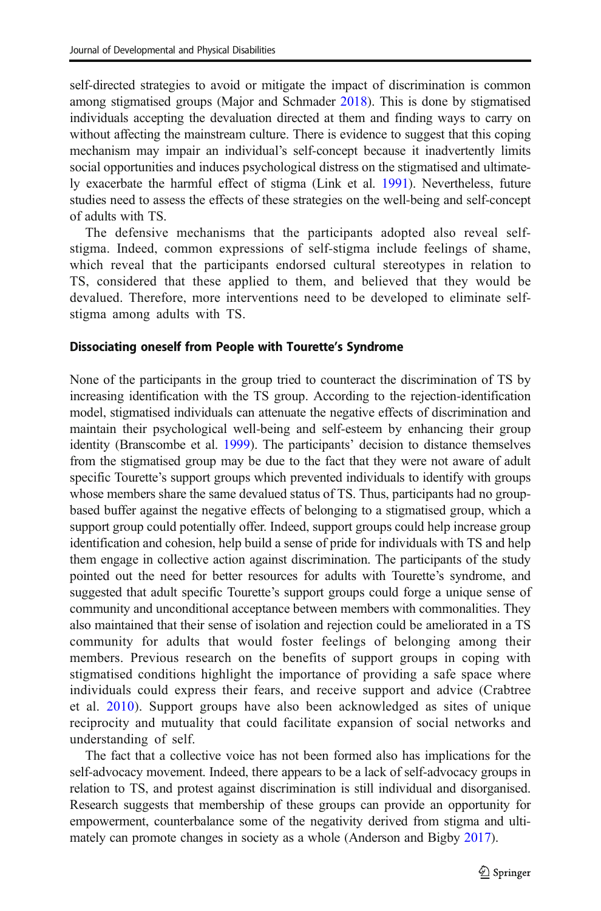self-directed strategies to avoid or mitigate the impact of discrimination is common among stigmatised groups (Major and Schmader 2018). This is done by stigmatised individuals accepting the devaluation directed at them and finding ways to carry on without affecting the mainstream culture. There is evidence to suggest that this coping mechanism may impair an individual's self-concept because it inadvertently limits social opportunities and induces psychological distress on the stigmatised and ultimately exacerbate the harmful effect of stigma (Link et al. 1991). Nevertheless, future studies need to assess the effects of these strategies on the well-being and self-concept of adults with TS.

The defensive mechanisms that the participants adopted also reveal selfstigma. Indeed, common expressions of self-stigma include feelings of shame, which reveal that the participants endorsed cultural stereotypes in relation to TS, considered that these applied to them, and believed that they would be devalued. Therefore, more interventions need to be developed to eliminate selfstigma among adults with TS.

#### Dissociating oneself from People with Tourette's Syndrome

None of the participants in the group tried to counteract the discrimination of TS by increasing identification with the TS group. According to the rejection-identification model, stigmatised individuals can attenuate the negative effects of discrimination and maintain their psychological well-being and self-esteem by enhancing their group identity (Branscombe et al. 1999). The participants' decision to distance themselves from the stigmatised group may be due to the fact that they were not aware of adult specific Tourette's support groups which prevented individuals to identify with groups whose members share the same devalued status of TS. Thus, participants had no groupbased buffer against the negative effects of belonging to a stigmatised group, which a support group could potentially offer. Indeed, support groups could help increase group identification and cohesion, help build a sense of pride for individuals with TS and help them engage in collective action against discrimination. The participants of the study pointed out the need for better resources for adults with Tourette's syndrome, and suggested that adult specific Tourette's support groups could forge a unique sense of community and unconditional acceptance between members with commonalities. They also maintained that their sense of isolation and rejection could be ameliorated in a TS community for adults that would foster feelings of belonging among their members. Previous research on the benefits of support groups in coping with stigmatised conditions highlight the importance of providing a safe space where individuals could express their fears, and receive support and advice (Crabtree et al. 2010). Support groups have also been acknowledged as sites of unique reciprocity and mutuality that could facilitate expansion of social networks and understanding of self.

The fact that a collective voice has not been formed also has implications for the self-advocacy movement. Indeed, there appears to be a lack of self-advocacy groups in relation to TS, and protest against discrimination is still individual and disorganised. Research suggests that membership of these groups can provide an opportunity for empowerment, counterbalance some of the negativity derived from stigma and ultimately can promote changes in society as a whole (Anderson and Bigby 2017).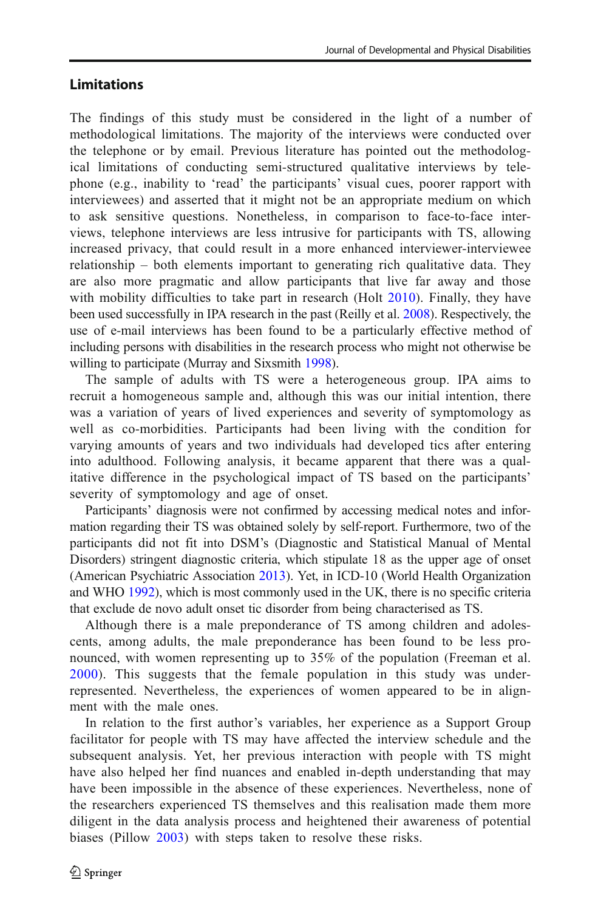#### Limitations

The findings of this study must be considered in the light of a number of methodological limitations. The majority of the interviews were conducted over the telephone or by email. Previous literature has pointed out the methodological limitations of conducting semi-structured qualitative interviews by telephone (e.g., inability to 'read' the participants' visual cues, poorer rapport with interviewees) and asserted that it might not be an appropriate medium on which to ask sensitive questions. Nonetheless, in comparison to face-to-face interviews, telephone interviews are less intrusive for participants with TS, allowing increased privacy, that could result in a more enhanced interviewer-interviewee relationship – both elements important to generating rich qualitative data. They are also more pragmatic and allow participants that live far away and those with mobility difficulties to take part in research (Holt 2010). Finally, they have been used successfully in IPA research in the past (Reilly et al. 2008). Respectively, the use of e-mail interviews has been found to be a particularly effective method of including persons with disabilities in the research process who might not otherwise be willing to participate (Murray and Sixsmith 1998).

The sample of adults with TS were a heterogeneous group. IPA aims to recruit a homogeneous sample and, although this was our initial intention, there was a variation of years of lived experiences and severity of symptomology as well as co-morbidities. Participants had been living with the condition for varying amounts of years and two individuals had developed tics after entering into adulthood. Following analysis, it became apparent that there was a qualitative difference in the psychological impact of TS based on the participants' severity of symptomology and age of onset.

Participants' diagnosis were not confirmed by accessing medical notes and information regarding their TS was obtained solely by self-report. Furthermore, two of the participants did not fit into DSM's (Diagnostic and Statistical Manual of Mental Disorders) stringent diagnostic criteria, which stipulate 18 as the upper age of onset (American Psychiatric Association 2013). Yet, in ICD-10 (World Health Organization and WHO 1992), which is most commonly used in the UK, there is no specific criteria that exclude de novo adult onset tic disorder from being characterised as TS.

Although there is a male preponderance of TS among children and adolescents, among adults, the male preponderance has been found to be less pronounced, with women representing up to 35% of the population (Freeman et al. 2000). This suggests that the female population in this study was underrepresented. Nevertheless, the experiences of women appeared to be in alignment with the male ones.

In relation to the first author's variables, her experience as a Support Group facilitator for people with TS may have affected the interview schedule and the subsequent analysis. Yet, her previous interaction with people with TS might have also helped her find nuances and enabled in-depth understanding that may have been impossible in the absence of these experiences. Nevertheless, none of the researchers experienced TS themselves and this realisation made them more diligent in the data analysis process and heightened their awareness of potential biases (Pillow 2003) with steps taken to resolve these risks.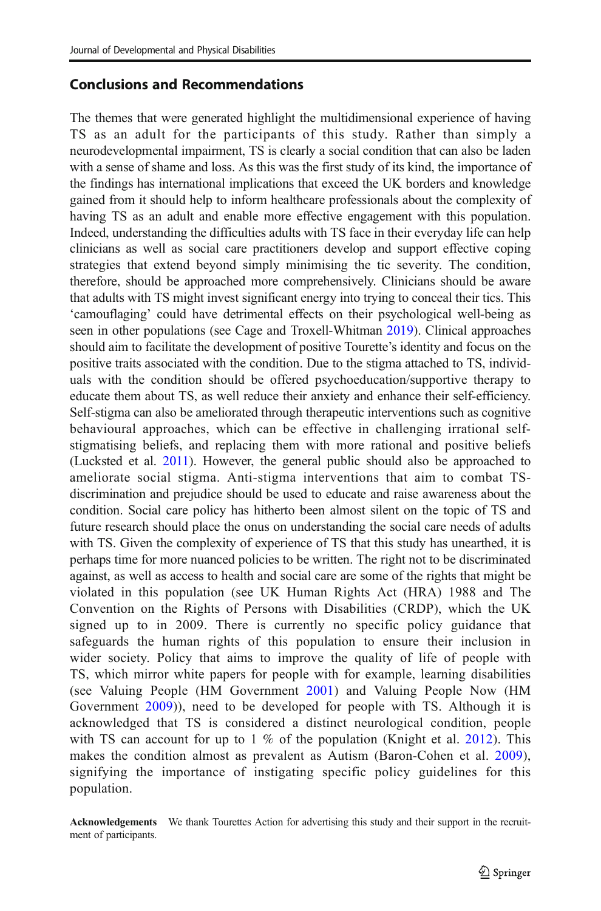#### Conclusions and Recommendations

The themes that were generated highlight the multidimensional experience of having TS as an adult for the participants of this study. Rather than simply a neurodevelopmental impairment, TS is clearly a social condition that can also be laden with a sense of shame and loss. As this was the first study of its kind, the importance of the findings has international implications that exceed the UK borders and knowledge gained from it should help to inform healthcare professionals about the complexity of having TS as an adult and enable more effective engagement with this population. Indeed, understanding the difficulties adults with TS face in their everyday life can help clinicians as well as social care practitioners develop and support effective coping strategies that extend beyond simply minimising the tic severity. The condition, therefore, should be approached more comprehensively. Clinicians should be aware that adults with TS might invest significant energy into trying to conceal their tics. This 'camouflaging' could have detrimental effects on their psychological well-being as seen in other populations (see Cage and Troxell-Whitman 2019). Clinical approaches should aim to facilitate the development of positive Tourette's identity and focus on the positive traits associated with the condition. Due to the stigma attached to TS, individuals with the condition should be offered psychoeducation/supportive therapy to educate them about TS, as well reduce their anxiety and enhance their self-efficiency. Self-stigma can also be ameliorated through therapeutic interventions such as cognitive behavioural approaches, which can be effective in challenging irrational selfstigmatising beliefs, and replacing them with more rational and positive beliefs (Lucksted et al. 2011). However, the general public should also be approached to ameliorate social stigma. Anti-stigma interventions that aim to combat TSdiscrimination and prejudice should be used to educate and raise awareness about the condition. Social care policy has hitherto been almost silent on the topic of TS and future research should place the onus on understanding the social care needs of adults with TS. Given the complexity of experience of TS that this study has unearthed, it is perhaps time for more nuanced policies to be written. The right not to be discriminated against, as well as access to health and social care are some of the rights that might be violated in this population (see UK Human Rights Act (HRA) 1988 and The Convention on the Rights of Persons with Disabilities (CRDP), which the UK signed up to in 2009. There is currently no specific policy guidance that safeguards the human rights of this population to ensure their inclusion in wider society. Policy that aims to improve the quality of life of people with TS, which mirror white papers for people with for example, learning disabilities (see Valuing People (HM Government 2001) and Valuing People Now (HM Government 2009)), need to be developed for people with TS. Although it is acknowledged that TS is considered a distinct neurological condition, people with TS can account for up to  $1\%$  of the population (Knight et al. 2012). This makes the condition almost as prevalent as Autism (Baron-Cohen et al. 2009), signifying the importance of instigating specific policy guidelines for this population.

Acknowledgements We thank Tourettes Action for advertising this study and their support in the recruitment of participants.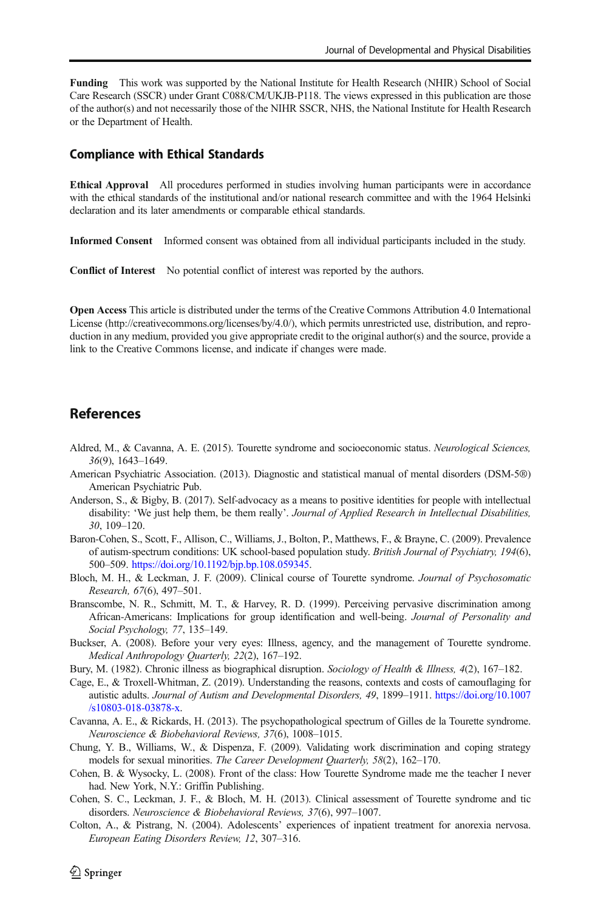Funding This work was supported by the National Institute for Health Research (NHIR) School of Social Care Research (SSCR) under Grant C088/CM/UKJB-P118. The views expressed in this publication are those of the author(s) and not necessarily those of the NIHR SSCR, NHS, the National Institute for Health Research or the Department of Health.

#### Compliance with Ethical Standards

Ethical Approval All procedures performed in studies involving human participants were in accordance with the ethical standards of the institutional and/or national research committee and with the 1964 Helsinki declaration and its later amendments or comparable ethical standards.

Informed Consent Informed consent was obtained from all individual participants included in the study.

Conflict of Interest No potential conflict of interest was reported by the authors.

Open Access This article is distributed under the terms of the Creative Commons Attribution 4.0 International License (http://creativecommons.org/licenses/by/4.0/), which permits unrestricted use, distribution, and reproduction in any medium, provided you give appropriate credit to the original author(s) and the source, provide a link to the Creative Commons license, and indicate if changes were made.

#### References

- Aldred, M., & Cavanna, A. E. (2015). Tourette syndrome and socioeconomic status. Neurological Sciences, 36(9), 1643–1649.
- American Psychiatric Association. (2013). Diagnostic and statistical manual of mental disorders (DSM-5®) American Psychiatric Pub.
- Anderson, S., & Bigby, B. (2017). Self-advocacy as a means to positive identities for people with intellectual disability: 'We just help them, be them really'. Journal of Applied Research in Intellectual Disabilities, 30, 109–120.
- Baron-Cohen, S., Scott, F., Allison, C., Williams, J., Bolton, P., Matthews, F., & Brayne, C. (2009). Prevalence of autism-spectrum conditions: UK school-based population study. British Journal of Psychiatry, 194(6), 500–509. <https://doi.org/10.1192/bjp.bp.108.059345>.
- Bloch, M. H., & Leckman, J. F. (2009). Clinical course of Tourette syndrome. Journal of Psychosomatic Research, 67(6), 497–501.
- Branscombe, N. R., Schmitt, M. T., & Harvey, R. D. (1999). Perceiving pervasive discrimination among African-Americans: Implications for group identification and well-being. Journal of Personality and Social Psychology, 77, 135–149.
- Buckser, A. (2008). Before your very eyes: Illness, agency, and the management of Tourette syndrome. Medical Anthropology Quarterly, 22(2), 167–192.
- Bury, M. (1982). Chronic illness as biographical disruption. Sociology of Health & Illness, 4(2), 167–182.
- Cage, E., & Troxell-Whitman, Z. (2019). Understanding the reasons, contexts and costs of camouflaging for autistic adults. Journal of Autism and Developmental Disorders, 49, 1899–1911. [https://doi.org/10.1007](https://doi.org/10.1007/s10803-018-03878-x) [/s10803-018-03878-x.](https://doi.org/10.1007/s10803-018-03878-x)
- Cavanna, A. E., & Rickards, H. (2013). The psychopathological spectrum of Gilles de la Tourette syndrome. Neuroscience & Biobehavioral Reviews, 37(6), 1008–1015.
- Chung, Y. B., Williams, W., & Dispenza, F. (2009). Validating work discrimination and coping strategy models for sexual minorities. The Career Development Quarterly, 58(2), 162–170.
- Cohen, B. & Wysocky, L. (2008). Front of the class: How Tourette Syndrome made me the teacher I never had. New York, N.Y.: Griffin Publishing.
- Cohen, S. C., Leckman, J. F., & Bloch, M. H. (2013). Clinical assessment of Tourette syndrome and tic disorders. Neuroscience & Biobehavioral Reviews, 37(6), 997–1007.
- Colton, A., & Pistrang, N. (2004). Adolescents' experiences of inpatient treatment for anorexia nervosa. European Eating Disorders Review, 12, 307–316.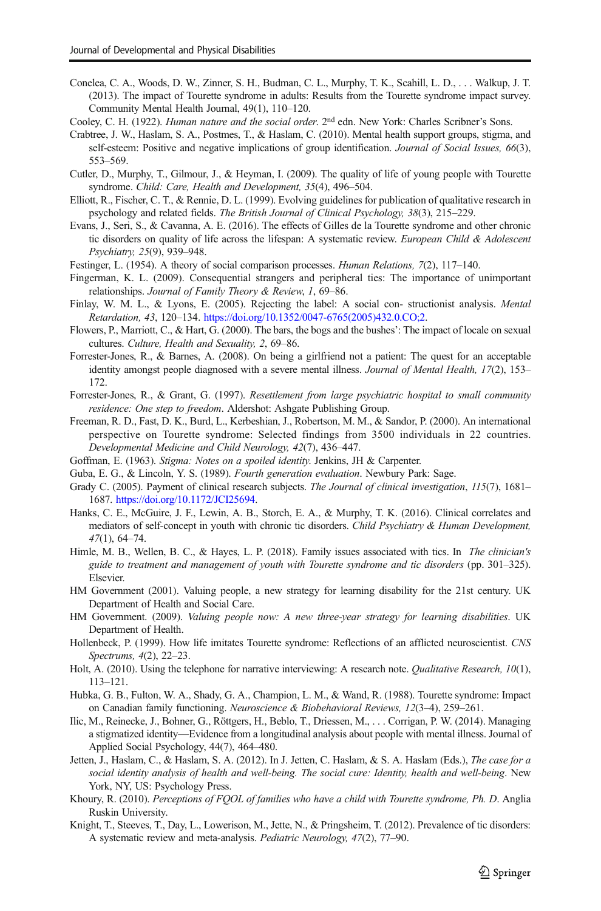- Conelea, C. A., Woods, D. W., Zinner, S. H., Budman, C. L., Murphy, T. K., Scahill, L. D., . . . Walkup, J. T. (2013). The impact of Tourette syndrome in adults: Results from the Tourette syndrome impact survey. Community Mental Health Journal, 49(1), 110–120.
- Cooley, C. H. (1922). *Human nature and the social order*. 2<sup>nd</sup> edn. New York: Charles Scribner's Sons.
- Crabtree, J. W., Haslam, S. A., Postmes, T., & Haslam, C. (2010). Mental health support groups, stigma, and self-esteem: Positive and negative implications of group identification. Journal of Social Issues, 66(3), 553–569.
- Cutler, D., Murphy, T., Gilmour, J., & Heyman, I. (2009). The quality of life of young people with Tourette syndrome. Child: Care, Health and Development, 35(4), 496–504.
- Elliott, R., Fischer, C. T., & Rennie, D. L. (1999). Evolving guidelines for publication of qualitative research in psychology and related fields. The British Journal of Clinical Psychology, 38(3), 215–229.
- Evans, J., Seri, S., & Cavanna, A. E. (2016). The effects of Gilles de la Tourette syndrome and other chronic tic disorders on quality of life across the lifespan: A systematic review. European Child & Adolescent Psychiatry, 25(9), 939–948.
- Festinger, L. (1954). A theory of social comparison processes. Human Relations, 7(2), 117–140.
- Fingerman, K. L. (2009). Consequential strangers and peripheral ties: The importance of unimportant relationships. Journal of Family Theory & Review, 1, 69–86.
- Finlay, W. M. L., & Lyons, E. (2005). Rejecting the label: A social con- structionist analysis. Mental Retardation, 43, 120–134. [https://doi.org/10.1352/0047-6765\(2005\)432.0.CO;2.](https://doi.org/10.1352/0047-6765(2005)432.0.CO;2)
- Flowers, P., Marriott, C., & Hart, G. (2000). The bars, the bogs and the bushes': The impact of locale on sexual cultures. Culture, Health and Sexuality, 2, 69–86.
- Forrester-Jones, R., & Barnes, A. (2008). On being a girlfriend not a patient: The quest for an acceptable identity amongst people diagnosed with a severe mental illness. Journal of Mental Health, 17(2), 153– 172.
- Forrester-Jones, R., & Grant, G. (1997). Resettlement from large psychiatric hospital to small community residence: One step to freedom. Aldershot: Ashgate Publishing Group.
- Freeman, R. D., Fast, D. K., Burd, L., Kerbeshian, J., Robertson, M. M., & Sandor, P. (2000). An international perspective on Tourette syndrome: Selected findings from 3500 individuals in 22 countries. Developmental Medicine and Child Neurology, 42(7), 436–447.
- Goffman, E. (1963). Stigma: Notes on a spoiled identity. Jenkins, JH & Carpenter.
- Guba, E. G., & Lincoln, Y. S. (1989). Fourth generation evaluation. Newbury Park: Sage.
- Grady C. (2005). Payment of clinical research subjects. The Journal of clinical investigation, 115(7), 1681– 1687. [https://doi.org/10.1172/JCI25694.](https://doi.org/10.1172/JCI25694)
- Hanks, C. E., McGuire, J. F., Lewin, A. B., Storch, E. A., & Murphy, T. K. (2016). Clinical correlates and mediators of self-concept in youth with chronic tic disorders. Child Psychiatry & Human Development, 47(1), 64–74.
- Himle, M. B., Wellen, B. C., & Hayes, L. P. (2018). Family issues associated with tics. In *The clinician's* guide to treatment and management of youth with Tourette syndrome and tic disorders (pp. 301–325). Elsevier.
- HM Government (2001). Valuing people, a new strategy for learning disability for the 21st century. UK Department of Health and Social Care.
- HM Government. (2009). Valuing people now: A new three-year strategy for learning disabilities. UK Department of Health.
- Hollenbeck, P. (1999). How life imitates Tourette syndrome: Reflections of an afflicted neuroscientist. CNS Spectrums, 4(2), 22–23.
- Holt, A. (2010). Using the telephone for narrative interviewing: A research note. *Qualitative Research*, 10(1), 113–121.
- Hubka, G. B., Fulton, W. A., Shady, G. A., Champion, L. M., & Wand, R. (1988). Tourette syndrome: Impact on Canadian family functioning. Neuroscience & Biobehavioral Reviews, 12(3–4), 259–261.
- Ilic, M., Reinecke, J., Bohner, G., Röttgers, H., Beblo, T., Driessen, M., . . . Corrigan, P. W. (2014). Managing a stigmatized identity—Evidence from a longitudinal analysis about people with mental illness. Journal of Applied Social Psychology, 44(7), 464–480.
- Jetten, J., Haslam, C., & Haslam, S. A. (2012). In J. Jetten, C. Haslam, & S. A. Haslam (Eds.), The case for a social identity analysis of health and well-being. The social cure: Identity, health and well-being. New York, NY, US: Psychology Press.
- Khoury, R. (2010). Perceptions of FQOL of families who have a child with Tourette syndrome, Ph. D. Anglia Ruskin University.
- Knight, T., Steeves, T., Day, L., Lowerison, M., Jette, N., & Pringsheim, T. (2012). Prevalence of tic disorders: A systematic review and meta-analysis. Pediatric Neurology, 47(2), 77–90.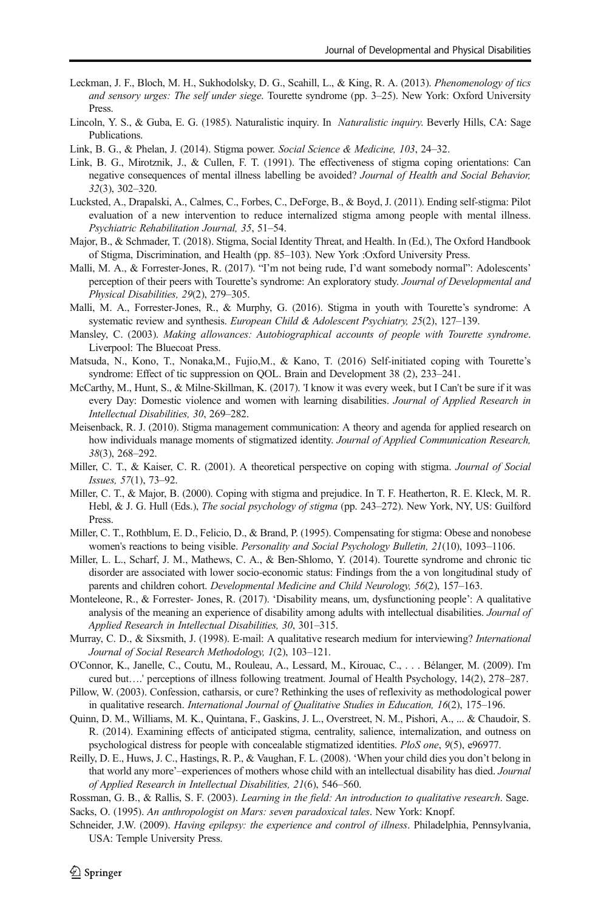- Leckman, J. F., Bloch, M. H., Sukhodolsky, D. G., Scahill, L., & King, R. A. (2013). Phenomenology of tics and sensory urges: The self under siege. Tourette syndrome (pp. 3-25). New York: Oxford University Press.
- Lincoln, Y. S., & Guba, E. G. (1985). Naturalistic inquiry. In Naturalistic inquiry. Beverly Hills, CA: Sage Publications.
- Link, B. G., & Phelan, J. (2014). Stigma power. Social Science & Medicine, 103, 24–32.
- Link, B. G., Mirotznik, J., & Cullen, F. T. (1991). The effectiveness of stigma coping orientations: Can negative consequences of mental illness labelling be avoided? Journal of Health and Social Behavior, 32(3), 302–320.
- Lucksted, A., Drapalski, A., Calmes, C., Forbes, C., DeForge, B., & Boyd, J. (2011). Ending self-stigma: Pilot evaluation of a new intervention to reduce internalized stigma among people with mental illness. Psychiatric Rehabilitation Journal, 35, 51–54.
- Major, B., & Schmader, T. (2018). Stigma, Social Identity Threat, and Health. In (Ed.), The Oxford Handbook of Stigma, Discrimination, and Health (pp. 85–103). New York :Oxford University Press.
- Malli, M. A., & Forrester-Jones, R. (2017). "I'm not being rude, I'd want somebody normal": Adolescents' perception of their peers with Tourette's syndrome: An exploratory study. Journal of Developmental and Physical Disabilities, 29(2), 279–305.
- Malli, M. A., Forrester-Jones, R., & Murphy, G. (2016). Stigma in youth with Tourette's syndrome: A systematic review and synthesis. European Child & Adolescent Psychiatry, 25(2), 127–139.
- Mansley, C. (2003). Making allowances: Autobiographical accounts of people with Tourette syndrome. Liverpool: The Bluecoat Press.
- Matsuda, N., Kono, T., Nonaka,M., Fujio,M., & Kano, T. (2016) Self-initiated coping with Tourette's syndrome: Effect of tic suppression on QOL. Brain and Development 38 (2), 233–241.
- McCarthy, M., Hunt, S., & Milne-Skillman, K. (2017). 'I know it was every week, but I Can't be sure if it was every Day: Domestic violence and women with learning disabilities. Journal of Applied Research in Intellectual Disabilities, 30, 269–282.
- Meisenback, R. J. (2010). Stigma management communication: A theory and agenda for applied research on how individuals manage moments of stigmatized identity. Journal of Applied Communication Research, 38(3), 268–292.
- Miller, C. T., & Kaiser, C. R. (2001). A theoretical perspective on coping with stigma. Journal of Social Issues, 57(1), 73–92.
- Miller, C. T., & Major, B. (2000). Coping with stigma and prejudice. In T. F. Heatherton, R. E. Kleck, M. R. Hebl, & J. G. Hull (Eds.), The social psychology of stigma (pp. 243–272). New York, NY, US: Guilford Press.
- Miller, C. T., Rothblum, E. D., Felicio, D., & Brand, P. (1995). Compensating for stigma: Obese and nonobese women's reactions to being visible. *Personality and Social Psychology Bulletin, 21*(10), 1093–1106.
- Miller, L. L., Scharf, J. M., Mathews, C. A., & Ben-Shlomo, Y. (2014). Tourette syndrome and chronic tic disorder are associated with lower socio-economic status: Findings from the a von longitudinal study of parents and children cohort. Developmental Medicine and Child Neurology, 56(2), 157–163.
- Monteleone, R., & Forrester- Jones, R. (2017). 'Disability means, um, dysfunctioning people': A qualitative analysis of the meaning an experience of disability among adults with intellectual disabilities. Journal of Applied Research in Intellectual Disabilities, 30, 301–315.
- Murray, C. D., & Sixsmith, J. (1998). E-mail: A qualitative research medium for interviewing? International Journal of Social Research Methodology, 1(2), 103–121.
- O'Connor, K., Janelle, C., Coutu, M., Rouleau, A., Lessard, M., Kirouac, C., . . . Bélanger, M. (2009). I'm cured but….' perceptions of illness following treatment. Journal of Health Psychology, 14(2), 278–287.
- Pillow, W. (2003). Confession, catharsis, or cure? Rethinking the uses of reflexivity as methodological power in qualitative research. International Journal of Qualitative Studies in Education, 16(2), 175–196.
- Quinn, D. M., Williams, M. K., Quintana, F., Gaskins, J. L., Overstreet, N. M., Pishori, A., ... & Chaudoir, S. R. (2014). Examining effects of anticipated stigma, centrality, salience, internalization, and outness on psychological distress for people with concealable stigmatized identities. PloS one, 9(5), e96977.
- Reilly, D. E., Huws, J. C., Hastings, R. P., & Vaughan, F. L. (2008). 'When your child dies you don't belong in that world any more'–experiences of mothers whose child with an intellectual disability has died. Journal of Applied Research in Intellectual Disabilities, 21(6), 546–560.
- Rossman, G. B., & Rallis, S. F. (2003). Learning in the field: An introduction to qualitative research. Sage.
- Sacks, O. (1995). An anthropologist on Mars: seven paradoxical tales. New York: Knopf.
- Schneider, J.W. (2009). Having epilepsy: the experience and control of illness. Philadelphia, Pennsylvania, USA: Temple University Press.